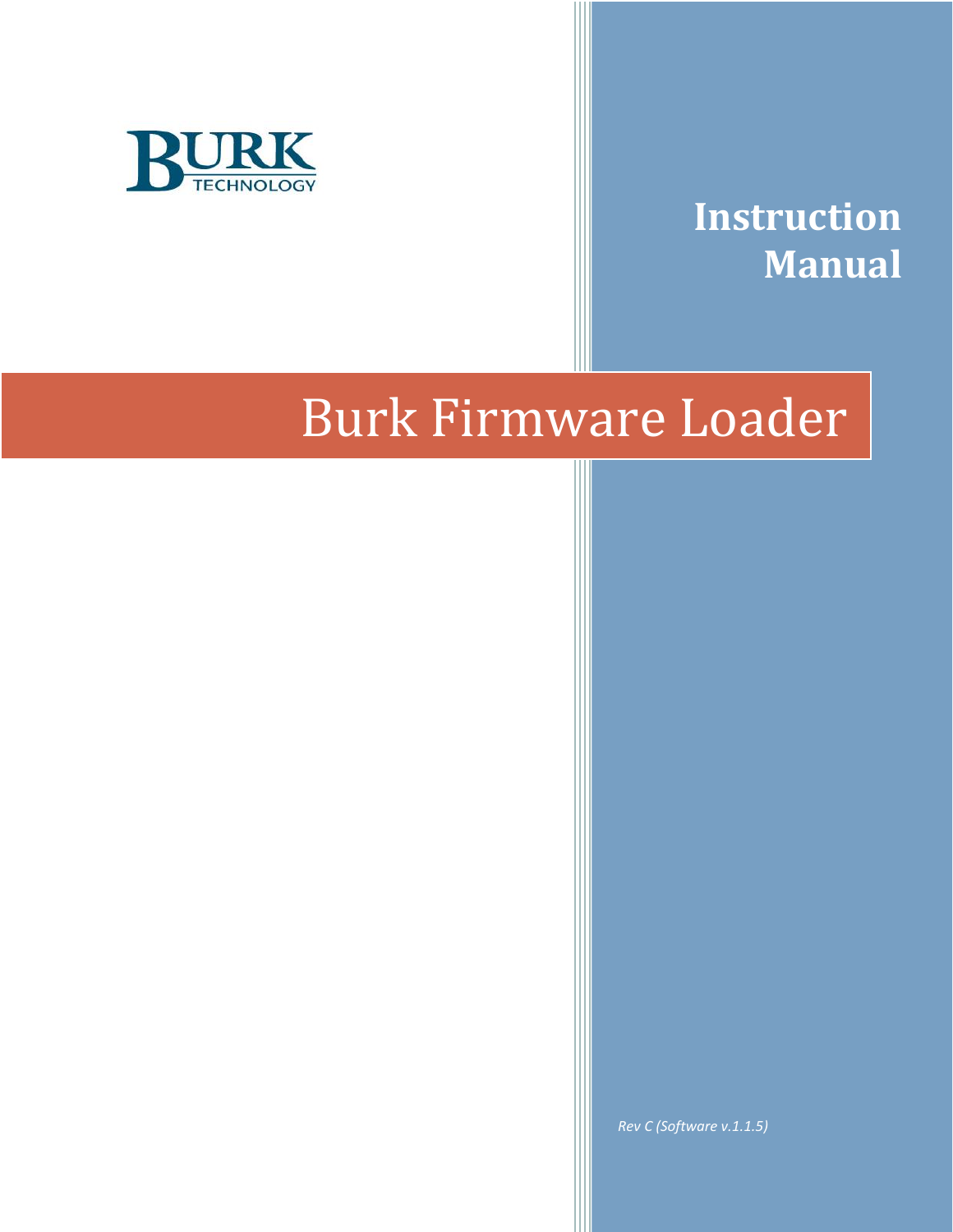



# Burk Firmware Loader

*Rev C (Software v.1.1.5)*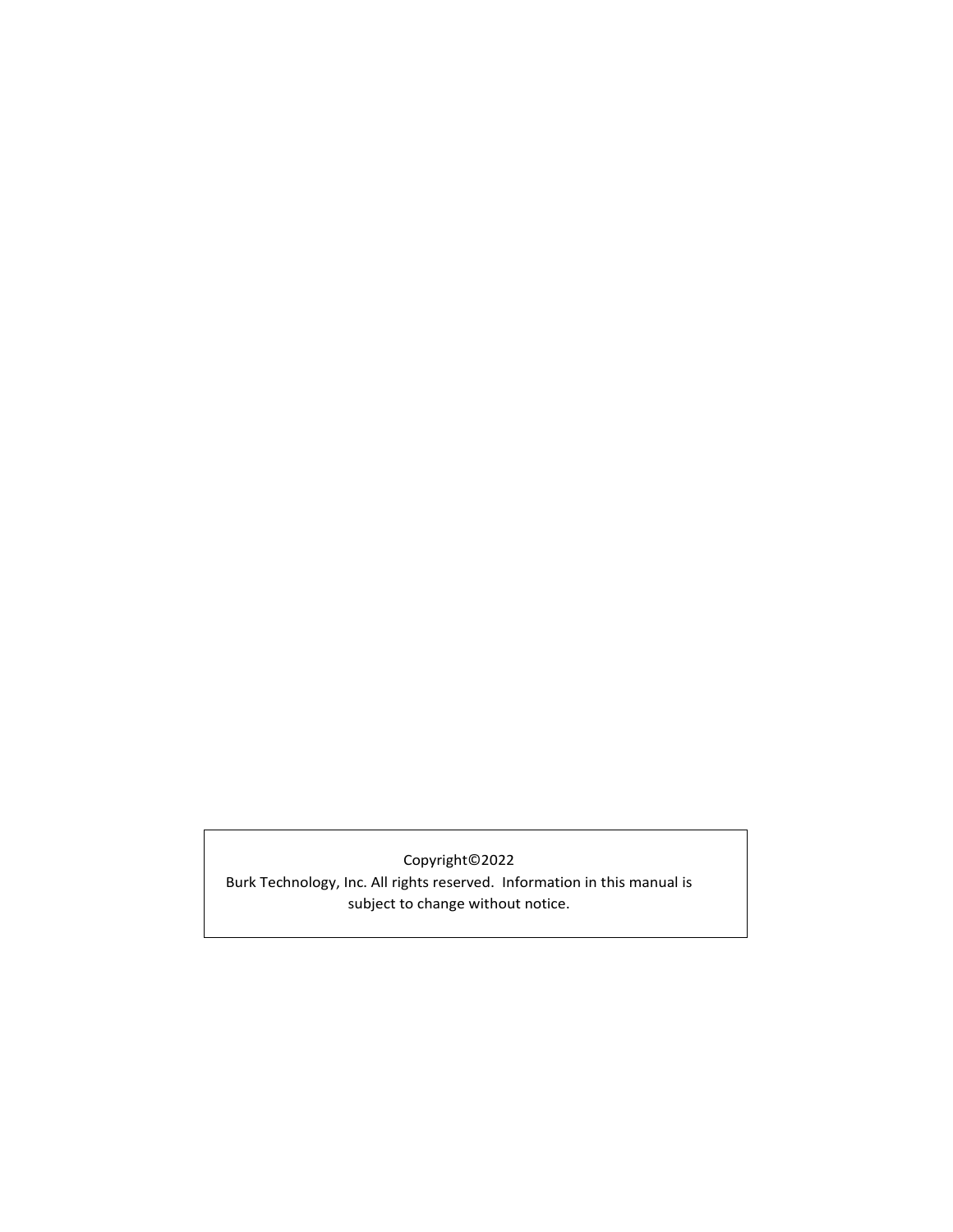# Copyright©2022

Burk Technology, Inc. All rights reserved. Information in this manual is subject to change without notice.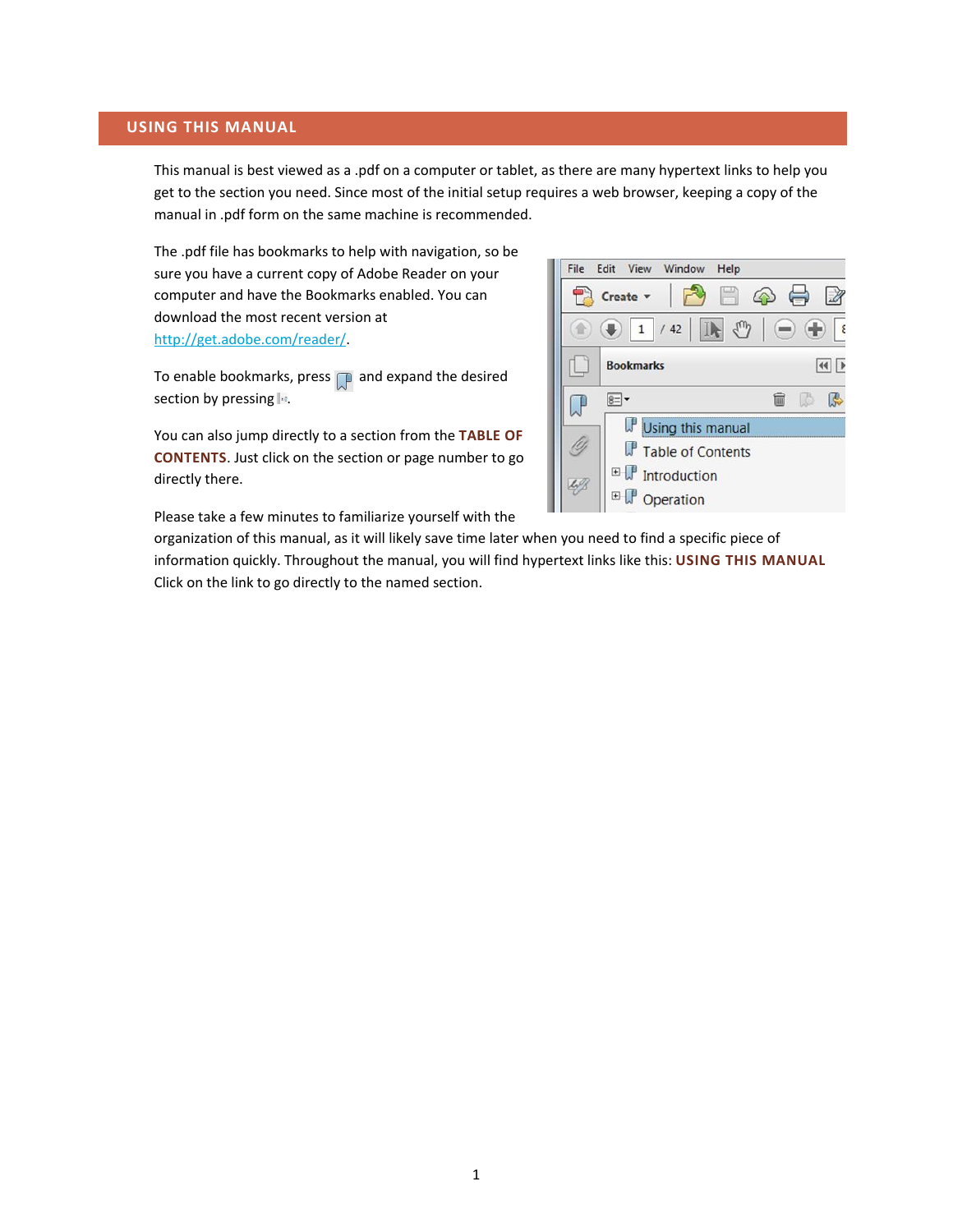#### <span id="page-2-0"></span>**USING THIS MANUAL**

This manual is best viewed as a .pdf on a computer or tablet, as there are many hypertext links to help you get to the section you need. Since most of the initial setup requires a web browser, keeping a copy of the manual in .pdf form on the same machine is recommended.

The .pdf file has bookmarks to help with navigation, so be sure you have a current copy of Adobe Reader on your computer and have the Bookmarks enabled. You can download the most recent version at [http://get.adobe.com/reader/.](http://get.adobe.com/reader/)

To enable bookmarks, press  $\Box$  and expand the desired section by pressing  $\overline{\mathbb{F}}$ .

You can also jump directly to a section from the **[TABLE OF](#page-3-0)  [CONTENTS](#page-3-0)**. Just click on the section or page number to go directly there.

Please take a few minutes to familiarize yourself with the



organization of this manual, as it will likely save time later when you need to find a specific piece of information quickly. Throughout the manual, you will find hypertext links like this: **[USING THIS MANUAL](#page-2-0)** Click on the link to go directly to the named section.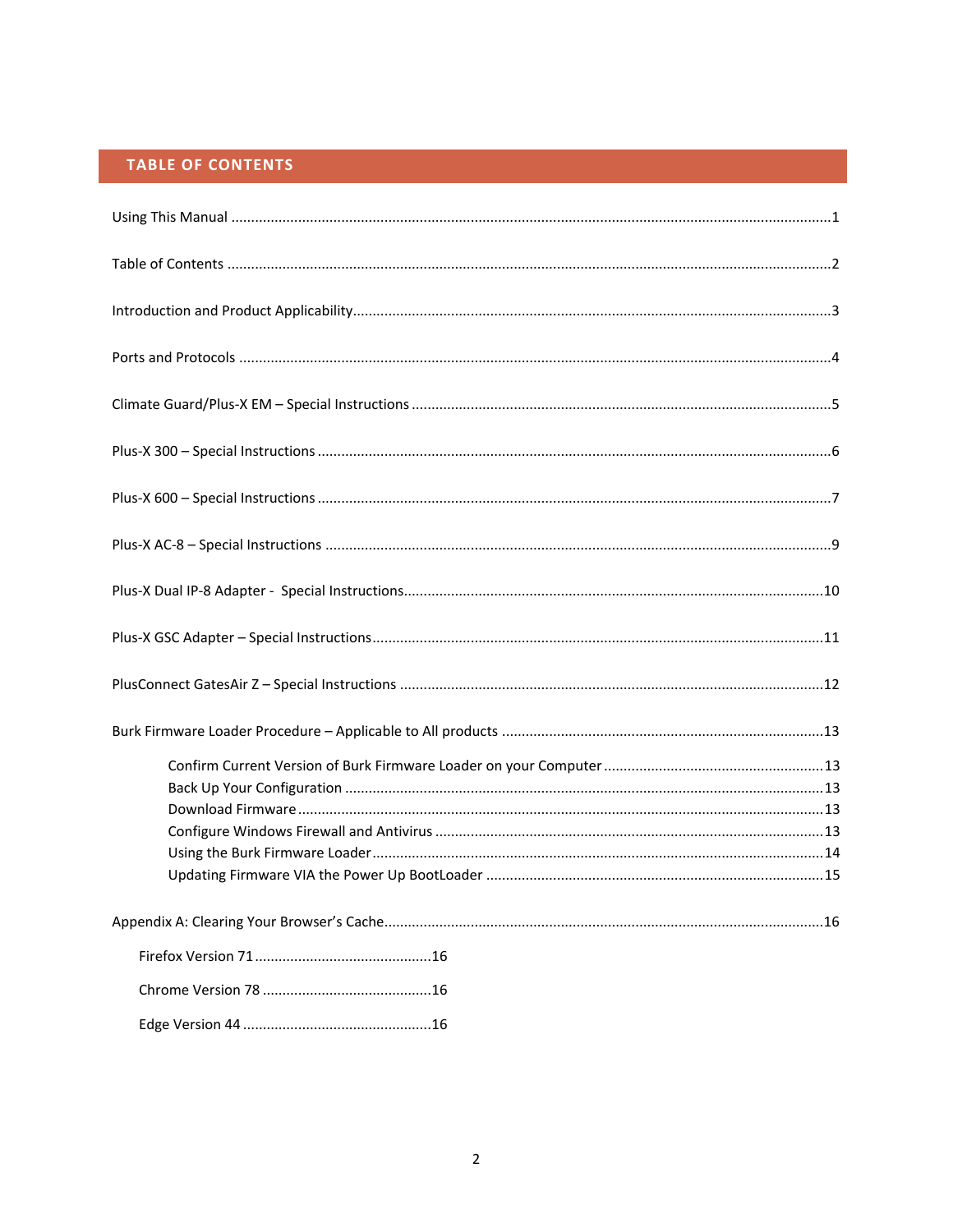# TABLE OF CONTENTS

<span id="page-3-0"></span>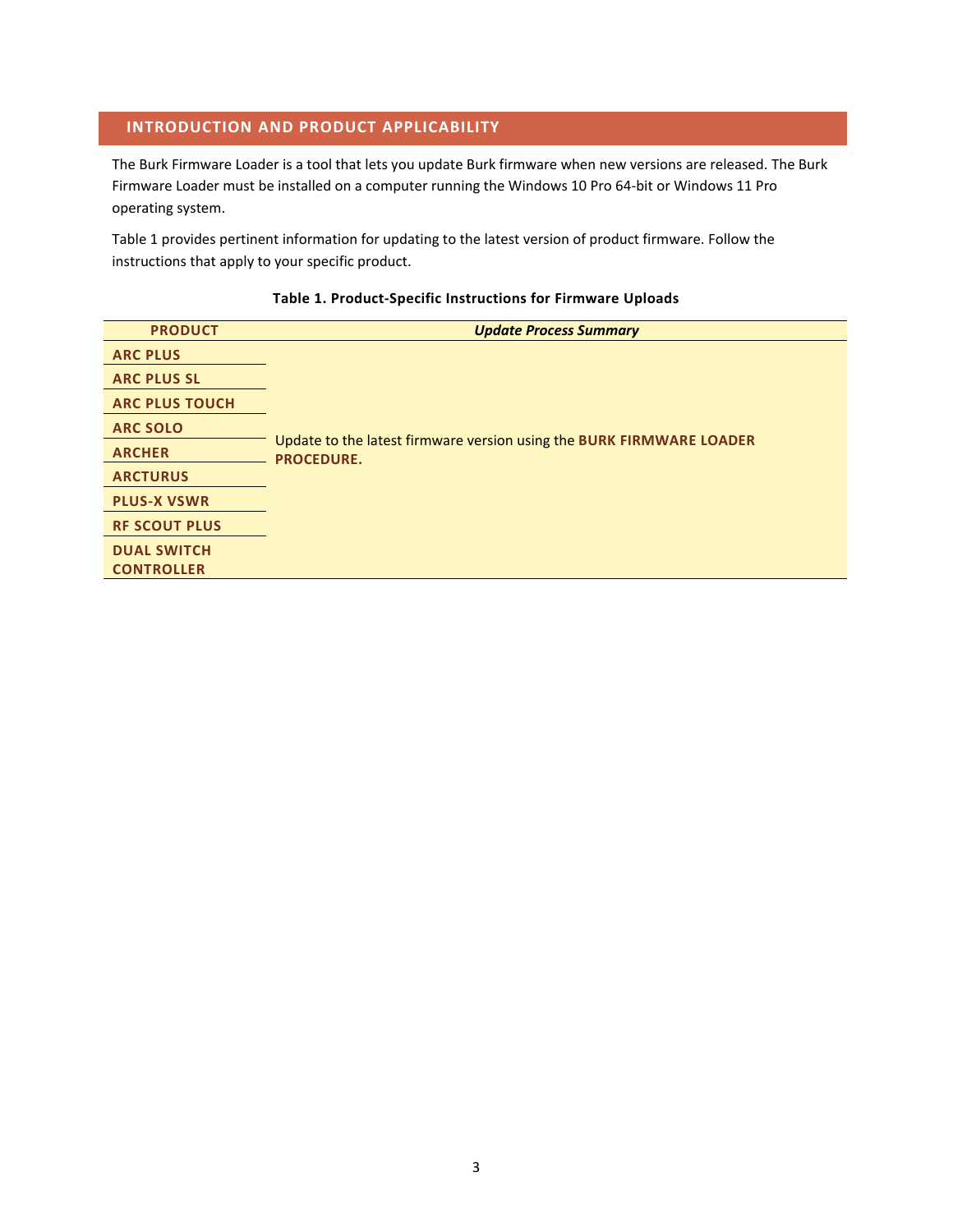## <span id="page-4-0"></span>**INTRODUCTION AND PRODUCT APPLICABILITY**

The Burk Firmware Loader is a tool that lets you update Burk firmware when new versions are released. The Burk Firmware Loader must be installed on a computer running the Windows 10 Pro 64-bit or Windows 11 Pro operating system.

Table 1 provides pertinent information for updating to the latest version of product firmware. Follow the instructions that apply to your specific product.

#### **Table 1. Product-Specific Instructions for Firmware Uploads**

| <b>PRODUCT</b>        | <b>Update Process Summary</b>                                                             |
|-----------------------|-------------------------------------------------------------------------------------------|
| <b>ARC PLUS</b>       |                                                                                           |
| <b>ARC PLUS SL</b>    |                                                                                           |
| <b>ARC PLUS TOUCH</b> |                                                                                           |
| <b>ARC SOLO</b>       |                                                                                           |
| <b>ARCHER</b>         | Update to the latest firmware version using the BURK FIRMWARE LOADER<br><b>PROCEDURE.</b> |
| <b>ARCTURUS</b>       |                                                                                           |
| <b>PLUS-X VSWR</b>    |                                                                                           |
| <b>RF SCOUT PLUS</b>  |                                                                                           |
| <b>DUAL SWITCH</b>    |                                                                                           |
| <b>CONTROLLER</b>     |                                                                                           |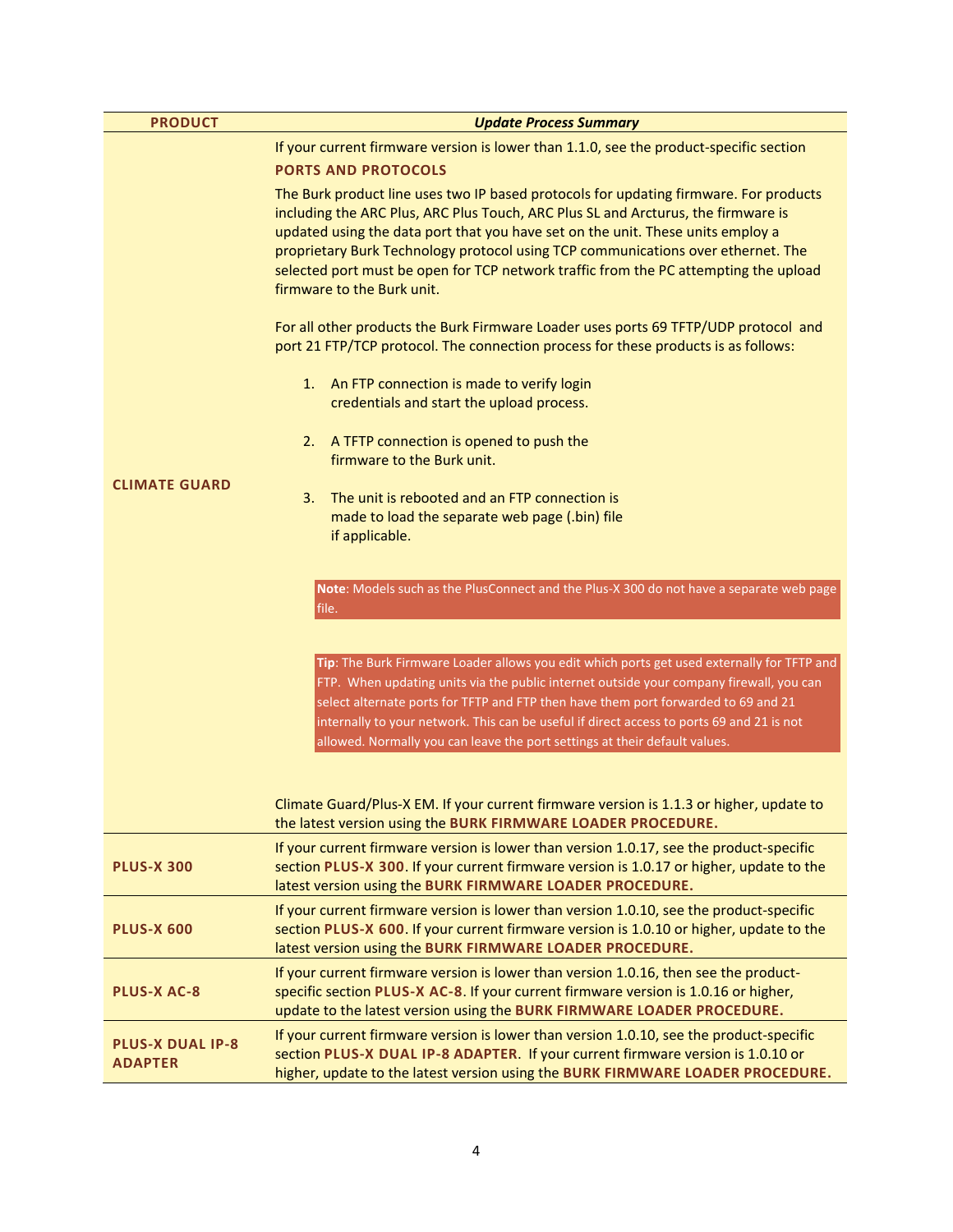| <b>PRODUCT</b>                            | <b>Update Process Summary</b>                                                                                                                                                                                                                                                                                                                                                                                                                                                                                                                                                                                     |  |  |  |
|-------------------------------------------|-------------------------------------------------------------------------------------------------------------------------------------------------------------------------------------------------------------------------------------------------------------------------------------------------------------------------------------------------------------------------------------------------------------------------------------------------------------------------------------------------------------------------------------------------------------------------------------------------------------------|--|--|--|
|                                           | If your current firmware version is lower than 1.1.0, see the product-specific section                                                                                                                                                                                                                                                                                                                                                                                                                                                                                                                            |  |  |  |
|                                           | <b>PORTS AND PROTOCOLS</b>                                                                                                                                                                                                                                                                                                                                                                                                                                                                                                                                                                                        |  |  |  |
|                                           | The Burk product line uses two IP based protocols for updating firmware. For products<br>including the ARC Plus, ARC Plus Touch, ARC Plus SL and Arcturus, the firmware is<br>updated using the data port that you have set on the unit. These units employ a<br>proprietary Burk Technology protocol using TCP communications over ethernet. The<br>selected port must be open for TCP network traffic from the PC attempting the upload<br>firmware to the Burk unit.                                                                                                                                           |  |  |  |
|                                           | For all other products the Burk Firmware Loader uses ports 69 TFTP/UDP protocol and<br>port 21 FTP/TCP protocol. The connection process for these products is as follows:                                                                                                                                                                                                                                                                                                                                                                                                                                         |  |  |  |
|                                           | 1.<br>An FTP connection is made to verify login<br>credentials and start the upload process.                                                                                                                                                                                                                                                                                                                                                                                                                                                                                                                      |  |  |  |
|                                           | A TFTP connection is opened to push the<br>2.<br>firmware to the Burk unit.                                                                                                                                                                                                                                                                                                                                                                                                                                                                                                                                       |  |  |  |
| <b>CLIMATE GUARD</b>                      | The unit is rebooted and an FTP connection is<br>3.                                                                                                                                                                                                                                                                                                                                                                                                                                                                                                                                                               |  |  |  |
|                                           | made to load the separate web page (.bin) file                                                                                                                                                                                                                                                                                                                                                                                                                                                                                                                                                                    |  |  |  |
|                                           | if applicable.                                                                                                                                                                                                                                                                                                                                                                                                                                                                                                                                                                                                    |  |  |  |
|                                           |                                                                                                                                                                                                                                                                                                                                                                                                                                                                                                                                                                                                                   |  |  |  |
|                                           | Note: Models such as the PlusConnect and the Plus-X 300 do not have a separate web page<br>file.                                                                                                                                                                                                                                                                                                                                                                                                                                                                                                                  |  |  |  |
|                                           | Tip: The Burk Firmware Loader allows you edit which ports get used externally for TFTP and<br>FTP. When updating units via the public internet outside your company firewall, you can<br>select alternate ports for TFTP and FTP then have them port forwarded to 69 and 21<br>internally to your network. This can be useful if direct access to ports 69 and 21 is not<br>allowed. Normally you can leave the port settings at their default values.<br>Climate Guard/Plus-X EM. If your current firmware version is 1.1.3 or higher, update to<br>the latest version using the BURK FIRMWARE LOADER PROCEDURE. |  |  |  |
| <b>PLUS-X 300</b>                         | If your current firmware version is lower than version 1.0.17, see the product-specific<br>section PLUS-X 300. If your current firmware version is 1.0.17 or higher, update to the<br>latest version using the BURK FIRMWARE LOADER PROCEDURE.                                                                                                                                                                                                                                                                                                                                                                    |  |  |  |
| <b>PLUS-X 600</b>                         | If your current firmware version is lower than version 1.0.10, see the product-specific<br>section PLUS-X 600. If your current firmware version is 1.0.10 or higher, update to the<br>latest version using the BURK FIRMWARE LOADER PROCEDURE.                                                                                                                                                                                                                                                                                                                                                                    |  |  |  |
| <b>PLUS-X AC-8</b>                        | If your current firmware version is lower than version 1.0.16, then see the product-<br>specific section PLUS-X AC-8. If your current firmware version is 1.0.16 or higher,<br>update to the latest version using the BURK FIRMWARE LOADER PROCEDURE.                                                                                                                                                                                                                                                                                                                                                             |  |  |  |
| <b>PLUS-X DUAL IP-8</b><br><b>ADAPTER</b> | If your current firmware version is lower than version 1.0.10, see the product-specific<br>section PLUS-X DUAL IP-8 ADAPTER. If your current firmware version is 1.0.10 or<br>higher, update to the latest version using the BURK FIRMWARE LOADER PROCEDURE.                                                                                                                                                                                                                                                                                                                                                      |  |  |  |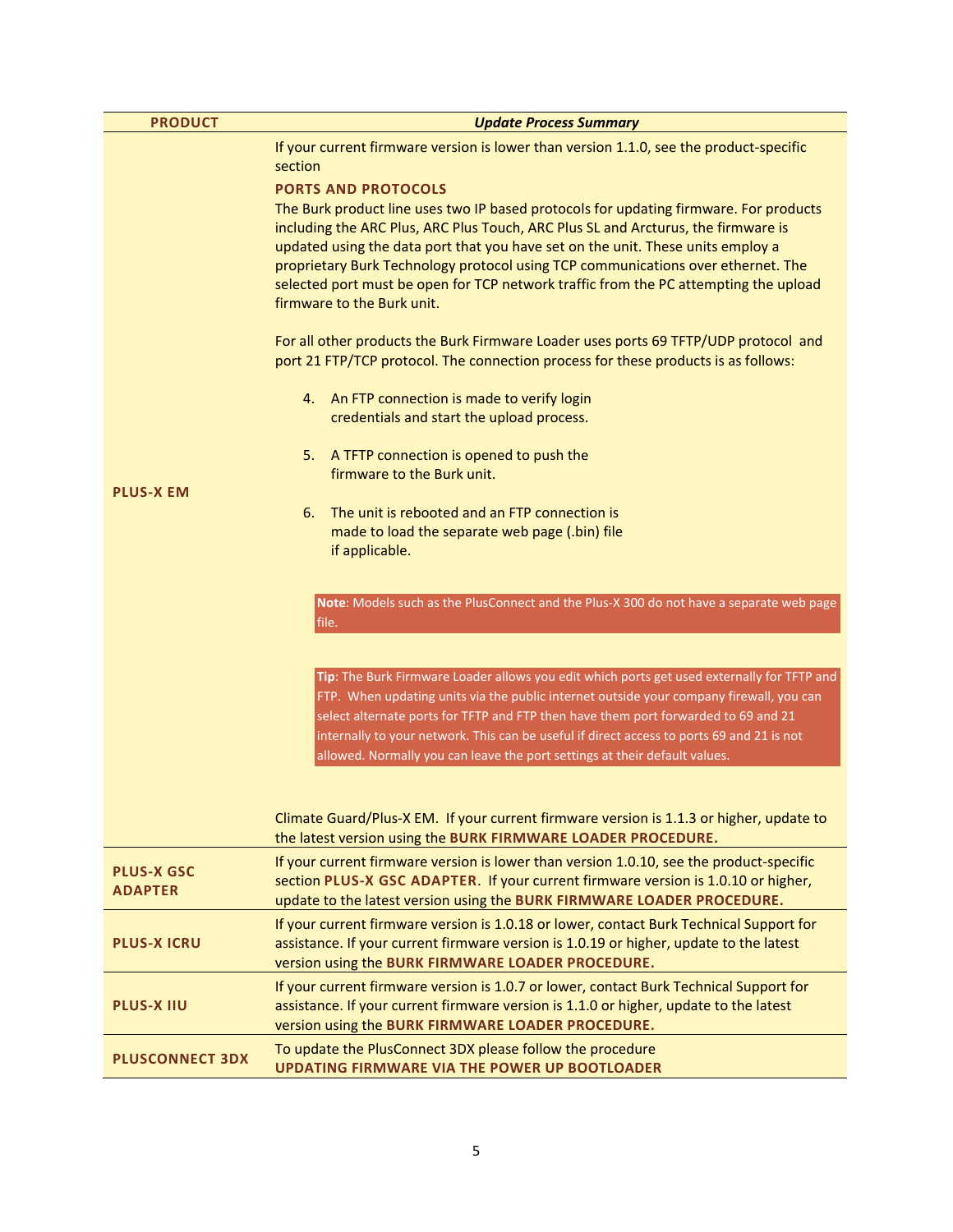| <b>PRODUCT</b>                      | <b>Update Process Summary</b>                                                                                                                                                                                                                                                                                                                                                                                                                          |  |  |  |
|-------------------------------------|--------------------------------------------------------------------------------------------------------------------------------------------------------------------------------------------------------------------------------------------------------------------------------------------------------------------------------------------------------------------------------------------------------------------------------------------------------|--|--|--|
|                                     | If your current firmware version is lower than version 1.1.0, see the product-specific<br>section                                                                                                                                                                                                                                                                                                                                                      |  |  |  |
|                                     | <b>PORTS AND PROTOCOLS</b>                                                                                                                                                                                                                                                                                                                                                                                                                             |  |  |  |
|                                     | The Burk product line uses two IP based protocols for updating firmware. For products                                                                                                                                                                                                                                                                                                                                                                  |  |  |  |
|                                     | including the ARC Plus, ARC Plus Touch, ARC Plus SL and Arcturus, the firmware is                                                                                                                                                                                                                                                                                                                                                                      |  |  |  |
|                                     | updated using the data port that you have set on the unit. These units employ a                                                                                                                                                                                                                                                                                                                                                                        |  |  |  |
|                                     | proprietary Burk Technology protocol using TCP communications over ethernet. The                                                                                                                                                                                                                                                                                                                                                                       |  |  |  |
|                                     | selected port must be open for TCP network traffic from the PC attempting the upload<br>firmware to the Burk unit.                                                                                                                                                                                                                                                                                                                                     |  |  |  |
|                                     | For all other products the Burk Firmware Loader uses ports 69 TFTP/UDP protocol and                                                                                                                                                                                                                                                                                                                                                                    |  |  |  |
|                                     | port 21 FTP/TCP protocol. The connection process for these products is as follows:                                                                                                                                                                                                                                                                                                                                                                     |  |  |  |
|                                     | An FTP connection is made to verify login<br>4.                                                                                                                                                                                                                                                                                                                                                                                                        |  |  |  |
|                                     | credentials and start the upload process.                                                                                                                                                                                                                                                                                                                                                                                                              |  |  |  |
|                                     | 5.<br>A TFTP connection is opened to push the                                                                                                                                                                                                                                                                                                                                                                                                          |  |  |  |
| <b>PLUS-X EM</b>                    | firmware to the Burk unit.                                                                                                                                                                                                                                                                                                                                                                                                                             |  |  |  |
|                                     | The unit is rebooted and an FTP connection is<br>6.                                                                                                                                                                                                                                                                                                                                                                                                    |  |  |  |
|                                     | made to load the separate web page (.bin) file<br>if applicable.                                                                                                                                                                                                                                                                                                                                                                                       |  |  |  |
|                                     |                                                                                                                                                                                                                                                                                                                                                                                                                                                        |  |  |  |
|                                     | Note: Models such as the PlusConnect and the Plus-X 300 do not have a separate web page<br>file.                                                                                                                                                                                                                                                                                                                                                       |  |  |  |
|                                     | Tip: The Burk Firmware Loader allows you edit which ports get used externally for TFTP and<br>FTP. When updating units via the public internet outside your company firewall, you can<br>select alternate ports for TFTP and FTP then have them port forwarded to 69 and 21<br>internally to your network. This can be useful if direct access to ports 69 and 21 is not<br>allowed. Normally you can leave the port settings at their default values. |  |  |  |
|                                     | Climate Guard/Plus-X EM. If your current firmware version is 1.1.3 or higher, update to<br>the latest version using the BURK FIRMWARE LOADER PROCEDURE.                                                                                                                                                                                                                                                                                                |  |  |  |
| <b>PLUS-X GSC</b><br><b>ADAPTER</b> | If your current firmware version is lower than version 1.0.10, see the product-specific<br>section PLUS-X GSC ADAPTER. If your current firmware version is 1.0.10 or higher,<br>update to the latest version using the BURK FIRMWARE LOADER PROCEDURE.                                                                                                                                                                                                 |  |  |  |
| <b>PLUS-X ICRU</b>                  | If your current firmware version is 1.0.18 or lower, contact Burk Technical Support for<br>assistance. If your current firmware version is 1.0.19 or higher, update to the latest<br>version using the BURK FIRMWARE LOADER PROCEDURE.                                                                                                                                                                                                                 |  |  |  |
| <b>PLUS-X IIU</b>                   | If your current firmware version is 1.0.7 or lower, contact Burk Technical Support for<br>assistance. If your current firmware version is 1.1.0 or higher, update to the latest<br>version using the BURK FIRMWARE LOADER PROCEDURE.                                                                                                                                                                                                                   |  |  |  |
| <b>PLUSCONNECT 3DX</b>              | To update the PlusConnect 3DX please follow the procedure                                                                                                                                                                                                                                                                                                                                                                                              |  |  |  |
|                                     | <b>UPDATING FIRMWARE VIA THE POWER UP BOOTLOADER</b>                                                                                                                                                                                                                                                                                                                                                                                                   |  |  |  |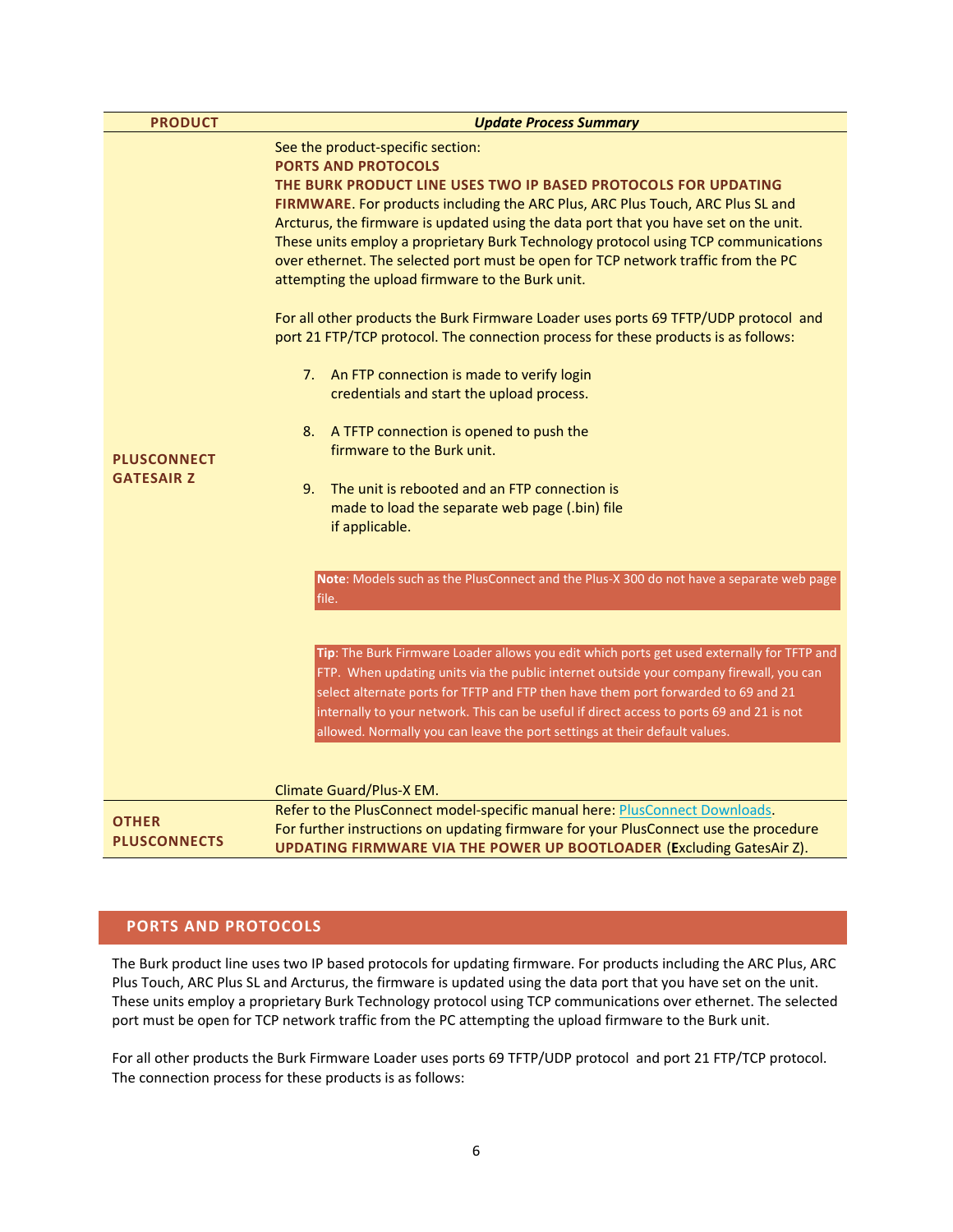| <b>PRODUCT</b>                          | <b>Update Process Summary</b>                                                                                                                                                                                                                                                                                                                                                                                                                                                                                                                                                                                                                                                                                                                                                                                                                                                                                                                                                                                                                                                                                                      |  |  |
|-----------------------------------------|------------------------------------------------------------------------------------------------------------------------------------------------------------------------------------------------------------------------------------------------------------------------------------------------------------------------------------------------------------------------------------------------------------------------------------------------------------------------------------------------------------------------------------------------------------------------------------------------------------------------------------------------------------------------------------------------------------------------------------------------------------------------------------------------------------------------------------------------------------------------------------------------------------------------------------------------------------------------------------------------------------------------------------------------------------------------------------------------------------------------------------|--|--|
| <b>PLUSCONNECT</b><br><b>GATESAIR Z</b> | See the product-specific section:<br><b>PORTS AND PROTOCOLS</b><br>THE BURK PRODUCT LINE USES TWO IP BASED PROTOCOLS FOR UPDATING<br>FIRMWARE. For products including the ARC Plus, ARC Plus Touch, ARC Plus SL and<br>Arcturus, the firmware is updated using the data port that you have set on the unit.<br>These units employ a proprietary Burk Technology protocol using TCP communications<br>over ethernet. The selected port must be open for TCP network traffic from the PC<br>attempting the upload firmware to the Burk unit.<br>For all other products the Burk Firmware Loader uses ports 69 TFTP/UDP protocol and<br>port 21 FTP/TCP protocol. The connection process for these products is as follows:<br>7. An FTP connection is made to verify login<br>credentials and start the upload process.<br>A TFTP connection is opened to push the<br>8.<br>firmware to the Burk unit.<br>The unit is rebooted and an FTP connection is<br>9.<br>made to load the separate web page (.bin) file<br>if applicable.<br>Note: Models such as the PlusConnect and the Plus-X 300 do not have a separate web page<br>file. |  |  |
|                                         | Tip: The Burk Firmware Loader allows you edit which ports get used externally for TFTP and<br>FTP. When updating units via the public internet outside your company firewall, you can<br>select alternate ports for TFTP and FTP then have them port forwarded to 69 and 21<br>internally to your network. This can be useful if direct access to ports 69 and 21 is not<br>allowed. Normally you can leave the port settings at their default values.<br>Climate Guard/Plus-X EM.                                                                                                                                                                                                                                                                                                                                                                                                                                                                                                                                                                                                                                                 |  |  |
| <b>OTHER</b><br><b>PLUSCONNECTS</b>     | Refer to the PlusConnect model-specific manual here: PlusConnect Downloads.<br>For further instructions on updating firmware for your PlusConnect use the procedure<br><b>UPDATING FIRMWARE VIA THE POWER UP BOOTLOADER (Excluding GatesAir Z).</b>                                                                                                                                                                                                                                                                                                                                                                                                                                                                                                                                                                                                                                                                                                                                                                                                                                                                                |  |  |

# <span id="page-7-1"></span><span id="page-7-0"></span>**PORTS AND PROTOCOLS**

The Burk product line uses two IP based protocols for updating firmware. For products including the ARC Plus, ARC Plus Touch, ARC Plus SL and Arcturus, the firmware is updated using the data port that you have set on the unit. These units employ a proprietary Burk Technology protocol using TCP communications over ethernet. The selected port must be open for TCP network traffic from the PC attempting the upload firmware to the Burk unit.

For all other products the Burk Firmware Loader uses ports 69 TFTP/UDP protocol and port 21 FTP/TCP protocol. The connection process for these products is as follows: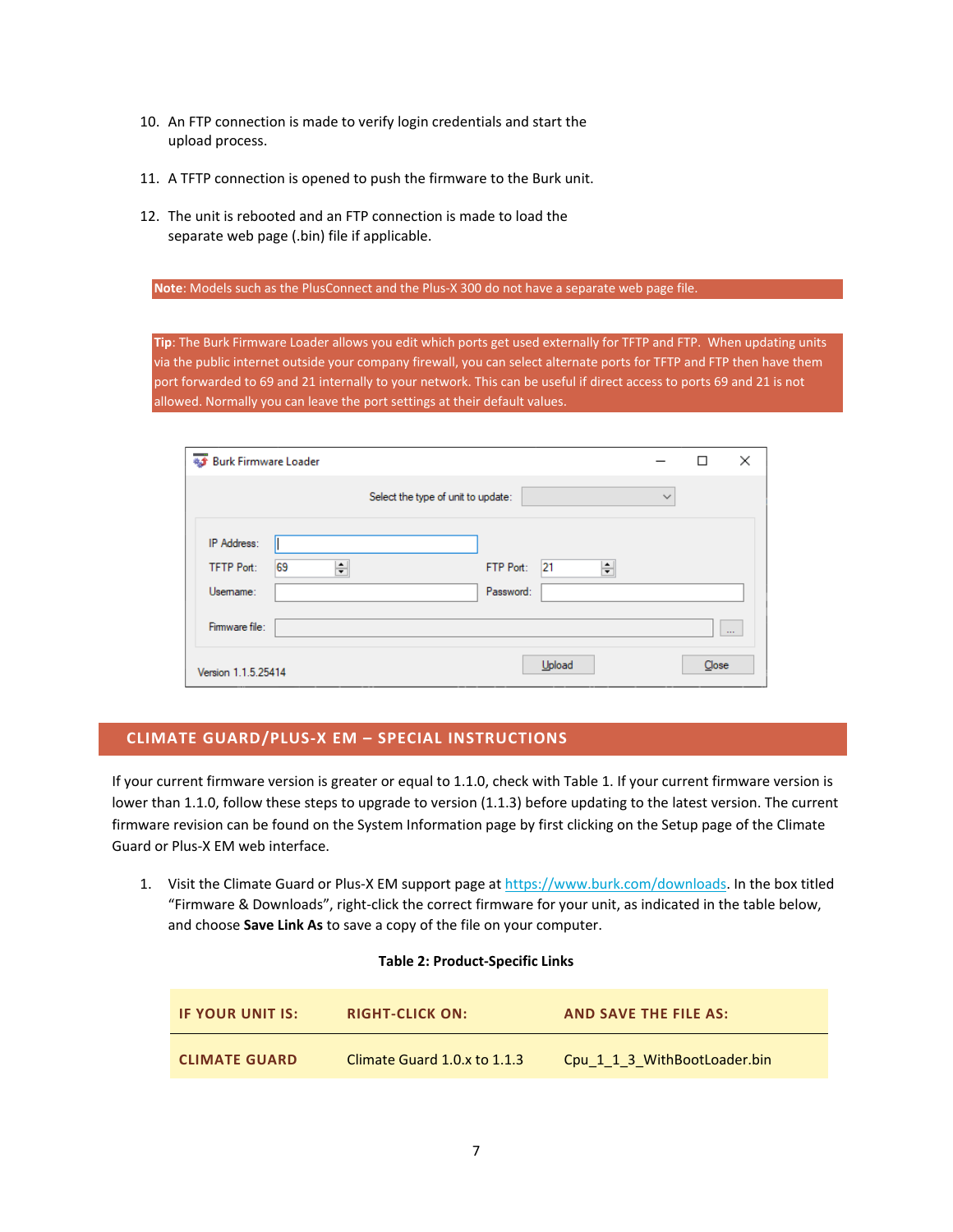- 10. An FTP connection is made to verify login credentials and start the upload process.
- 11. A TFTP connection is opened to push the firmware to the Burk unit.
- 12. The unit is rebooted and an FTP connection is made to load the separate web page (.bin) file if applicable.

**Note**: Models such as the PlusConnect and the Plus-X 300 do not have a separate web page file.

**Tip**: The Burk Firmware Loader allows you edit which ports get used externally for TFTP and FTP. When updating units via the public internet outside your company firewall, you can select alternate ports for TFTP and FTP then have them port forwarded to 69 and 21 internally to your network. This can be useful if direct access to ports 69 and 21 is not allowed. Normally you can leave the port settings at their default values.

| # Burk Firmware Loader                                  |                                    |              | П     | ×        |
|---------------------------------------------------------|------------------------------------|--------------|-------|----------|
|                                                         | Select the type of unit to update: | $\checkmark$ |       |          |
| IP Address:<br>69<br>÷<br><b>TFTP Port:</b><br>Usemame: | 21<br>÷<br>FTP Port:<br>Password:  |              |       |          |
| Firmware file:                                          |                                    |              |       | $\cdots$ |
| Version 1.1.5.25414                                     | Upload                             |              | Close |          |

# <span id="page-8-0"></span>**CLIMATE GUARD/PLUS-X EM – SPECIAL INSTRUCTIONS**

If your current firmware version is greater or equal to 1.1.0, check with Table 1. If your current firmware version is lower than 1.1.0, follow these steps to upgrade to version (1.1.3) before updating to the latest version. The current firmware revision can be found on the System Information page by first clicking on the Setup page of the Climate Guard or Plus-X EM web interface.

1. Visit the Climate Guard or Plus-X EM support page a[t https://www.burk.com/downloads.](https://www.burk.com/downloads) In the box titled "Firmware & Downloads", right-click the correct firmware for your unit, as indicated in the table below, and choose **Save Link As** to save a copy of the file on your computer.

|  | <b>Table 2: Product-Specific Links</b> |  |
|--|----------------------------------------|--|
|--|----------------------------------------|--|

| <b>IF YOUR UNIT IS:</b> | <b>RIGHT-CLICK ON:</b>       | <b>AND SAVE THE FILE AS:</b> |
|-------------------------|------------------------------|------------------------------|
| <b>CLIMATE GUARD</b>    | Climate Guard 1.0.x to 1.1.3 | Cpu 1 1 3 WithBootLoader.bin |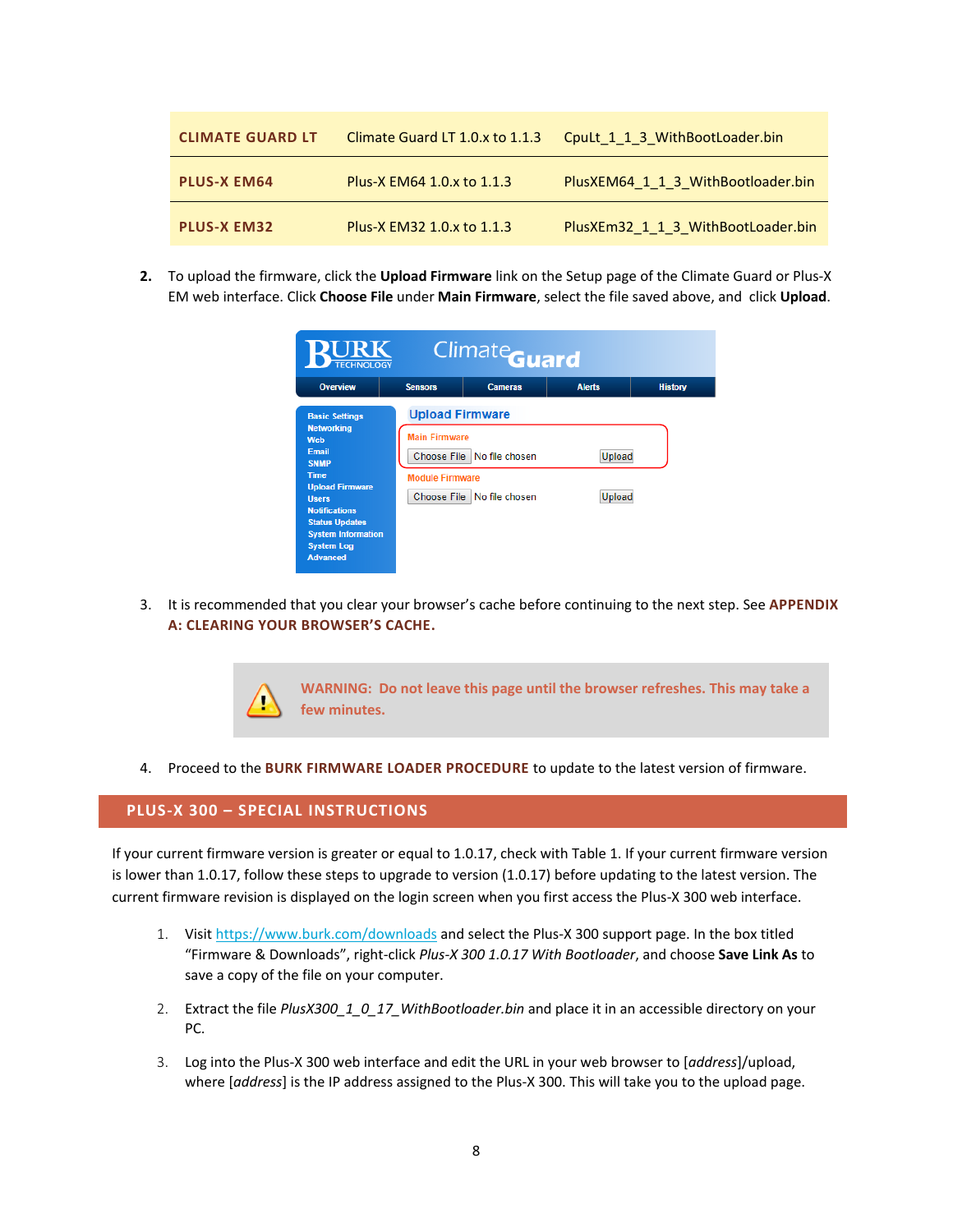| <b>CLIMATE GUARD LT</b> | Climate Guard LT 1.0.x to 1.1.3 | CpuLt 1 1 3 WithBootLoader.bin     |
|-------------------------|---------------------------------|------------------------------------|
| <b>PLUS-X EM64</b>      | Plus-X EM64 1.0.x to 1.1.3      | PlusXEM64 1 1 3 WithBootloader.bin |
| <b>PLUS-X EM32</b>      | Plus-X EM32 1.0.x to 1.1.3      | PlusXEm32 1 1 3 WithBootLoader.bin |

**2.** To upload the firmware, click the **Upload Firmware** link on the Setup page of the Climate Guard or Plus-X EM web interface. Click **Choose File** under **Main Firmware**, select the file saved above, and click **Upload**.

| RURK<br>Climate <sub>Guard</sub><br><b>TECHNOLOGY</b> |                        |                              |               |                |
|-------------------------------------------------------|------------------------|------------------------------|---------------|----------------|
| <b>Overview</b>                                       | <b>Sensors</b>         | <b>Cameras</b>               | <b>Alerts</b> | <b>History</b> |
| <b>Basic Settings</b>                                 | <b>Upload Firmware</b> |                              |               |                |
| <b>Networking</b><br>Web                              | <b>Main Firmware</b>   |                              |               |                |
| Email                                                 |                        | Choose File   No file chosen | Upload        |                |
| <b>SNMP</b><br><b>Time</b>                            | <b>Module Firmware</b> |                              |               |                |
| <b>Upload Firmware</b>                                |                        |                              |               |                |
| <b>Ilsers</b><br><b>Notifications</b>                 |                        | Choose File No file chosen   | Upload        |                |
| <b>Status Updates</b>                                 |                        |                              |               |                |
| <b>System Information</b>                             |                        |                              |               |                |
| <b>System Log</b><br><b>Advanced</b>                  |                        |                              |               |                |

3. It is recommended that you clear your browser's cache before continuing to the next step. See **[APPENDIX](#page-19-0)  [A: CLEARING YOUR BROWSER'S CACHE](#page-19-0).**



4. Proceed to the **[BURK FIRMWARE LOADER PROCEDURE](#page-16-0)** to update to the latest version of firmware.

#### <span id="page-9-0"></span>**PLUS-X 300 – SPECIAL INSTRUCTIONS**

If your current firmware version is greater or equal to 1.0.17, check with Table 1. If your current firmware version is lower than 1.0.17, follow these steps to upgrade to version (1.0.17) before updating to the latest version. The current firmware revision is displayed on the login screen when you first access the Plus-X 300 web interface.

- 1. Visi[t https://www.burk.com/downloads](https://www.burk.com/downloads) and select the Plus-X 300 support page. In the box titled "Firmware & Downloads", right-click *Plus-X 300 1.0.17 With Bootloader*, and choose **Save Link As** to save a copy of the file on your computer.
- 2. Extract the file *PlusX300\_1\_0\_17\_WithBootloader.bin* and place it in an accessible directory on your PC.
- 3. Log into the Plus-X 300 web interface and edit the URL in your web browser to [*address*]/upload, where [*address*] is the IP address assigned to the Plus-X 300. This will take you to the upload page.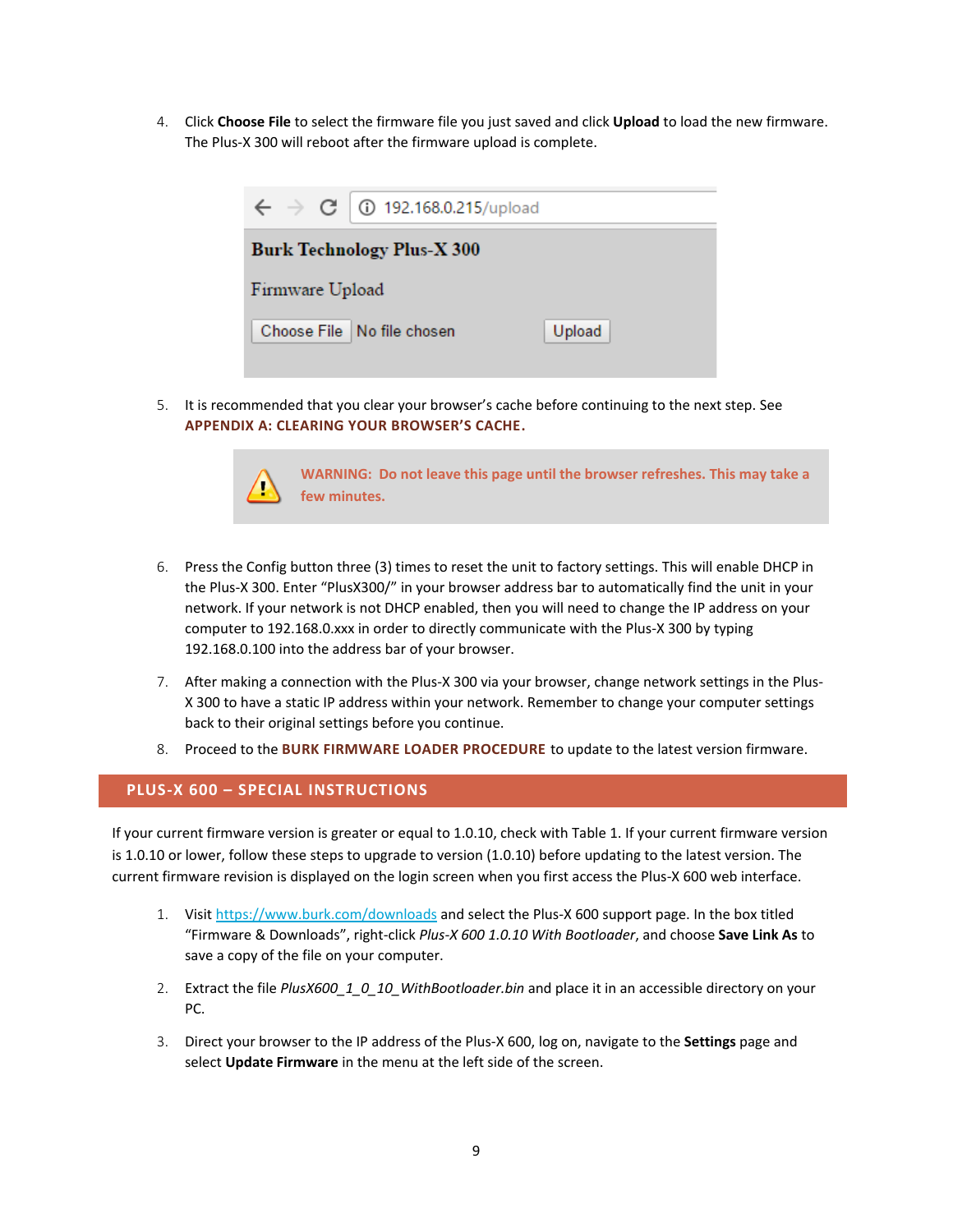4. Click **Choose File** to select the firmware file you just saved and click **Upload** to load the new firmware. The Plus-X 300 will reboot after the firmware upload is complete.



5. It is recommended that you clear your browser's cache before continuing to the next step. See **[APPENDIX A: CLEARING YOUR BROWSER'S CACHE](#page-19-0).**



**WARNING: Do not leave this page until the browser refreshes. This may take a few minutes.**

- 6. Press the Config button three (3) times to reset the unit to factory settings. This will enable DHCP in the Plus-X 300. Enter "PlusX300/" in your browser address bar to automatically find the unit in your network. If your network is not DHCP enabled, then you will need to change the IP address on your computer to 192.168.0.xxx in order to directly communicate with the Plus-X 300 by typing 192.168.0.100 into the address bar of your browser.
- 7. After making a connection with the Plus-X 300 via your browser, change network settings in the Plus-X 300 to have a static IP address within your network. Remember to change your computer settings back to their original settings before you continue.
- 8. Proceed to the **[BURK FIRMWARE LOADER PROCEDURE](#page-16-0)** to update to the latest version firmware.

# <span id="page-10-0"></span>**PLUS-X 600 – SPECIAL INSTRUCTIONS**

If your current firmware version is greater or equal to 1.0.10, check with Table 1. If your current firmware version is 1.0.10 or lower, follow these steps to upgrade to version (1.0.10) before updating to the latest version. The current firmware revision is displayed on the login screen when you first access the Plus-X 600 web interface.

- 1. Visi[t https://www.burk.com/downloads](https://www.burk.com/downloads) and select the Plus-X 600 support page. In the box titled "Firmware & Downloads", right-click *Plus-X 600 1.0.10 With Bootloader*, and choose **Save Link As** to save a copy of the file on your computer.
- 2. Extract the file *PlusX600\_1\_0\_10\_WithBootloader.bin* and place it in an accessible directory on your PC.
- 3. Direct your browser to the IP address of the Plus-X 600, log on, navigate to the **Settings** page and select **Update Firmware** in the menu at the left side of the screen.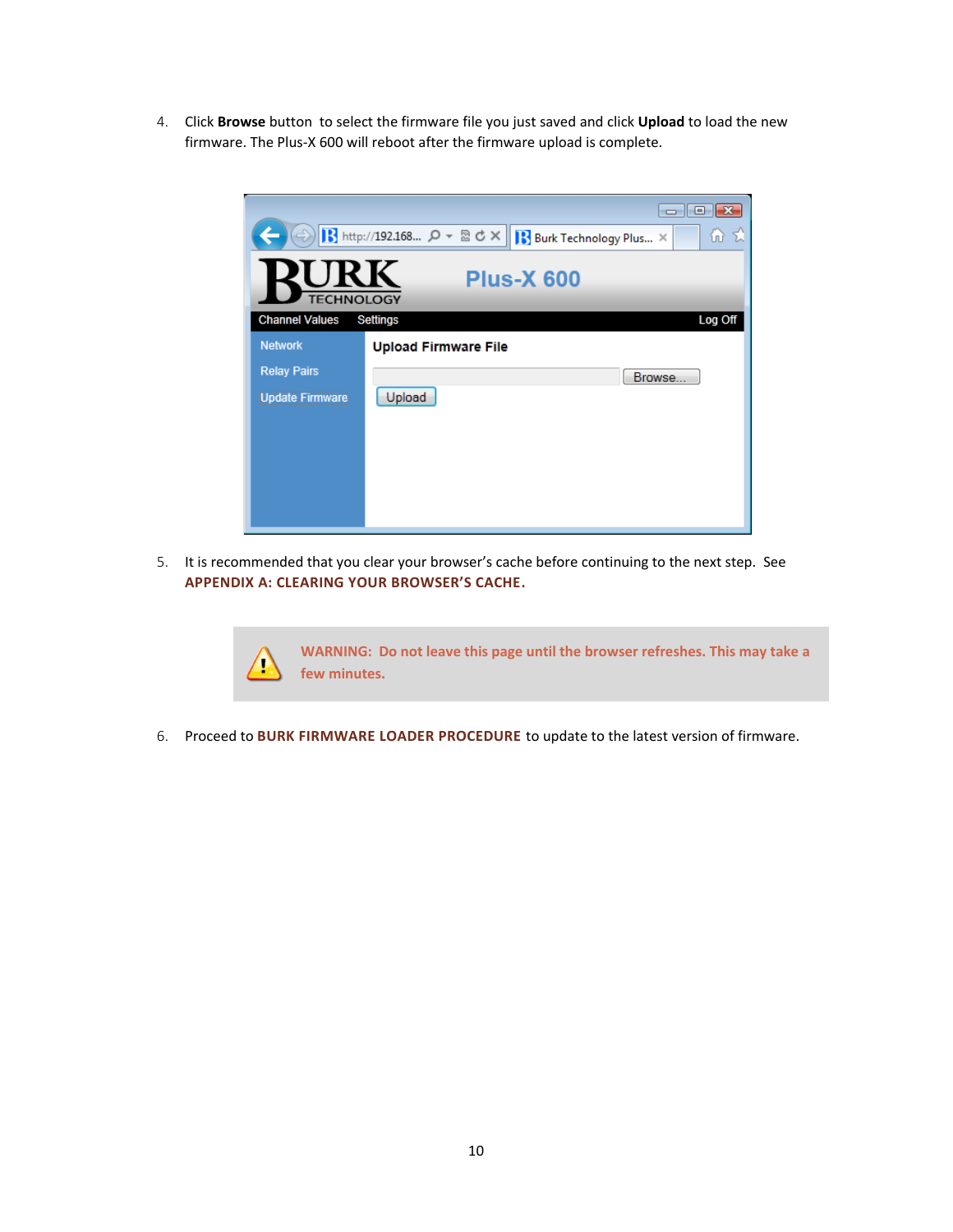4. Click **Browse** button to select the firmware file you just saved and click **Upload** to load the new firmware. The Plus-X 600 will reboot after the firmware upload is complete.

|                                                      | x<br>▣<br>$\Box$                                                   |  |  |
|------------------------------------------------------|--------------------------------------------------------------------|--|--|
|                                                      | B http://192.168 Q - 図 d ×<br>仙 丸<br><b>Burk Technology Plus</b> X |  |  |
| <b>URK</b><br><b>Plus-X 600</b><br><b>TECHNOLOGY</b> |                                                                    |  |  |
| <b>Channel Values</b>                                | Settings<br>Log Off                                                |  |  |
| <b>Network</b>                                       | <b>Upload Firmware File</b>                                        |  |  |
| <b>Relay Pairs</b>                                   | Browse                                                             |  |  |
| <b>Update Firmware</b>                               | Upload                                                             |  |  |
|                                                      |                                                                    |  |  |
|                                                      |                                                                    |  |  |
|                                                      |                                                                    |  |  |
|                                                      |                                                                    |  |  |
|                                                      |                                                                    |  |  |

5. It is recommended that you clear your browser's cache before continuing to the next step. See **[APPENDIX A: CLEARING YOUR BROWSER'S CACHE](#page-19-0).**

> **WARNING: Do not leave this page until the browser refreshes. This may take a few minutes.**

6. Proceed to **[BURK FIRMWARE LOADER PROCEDURE](#page-16-0)** to update to the latest version of firmware.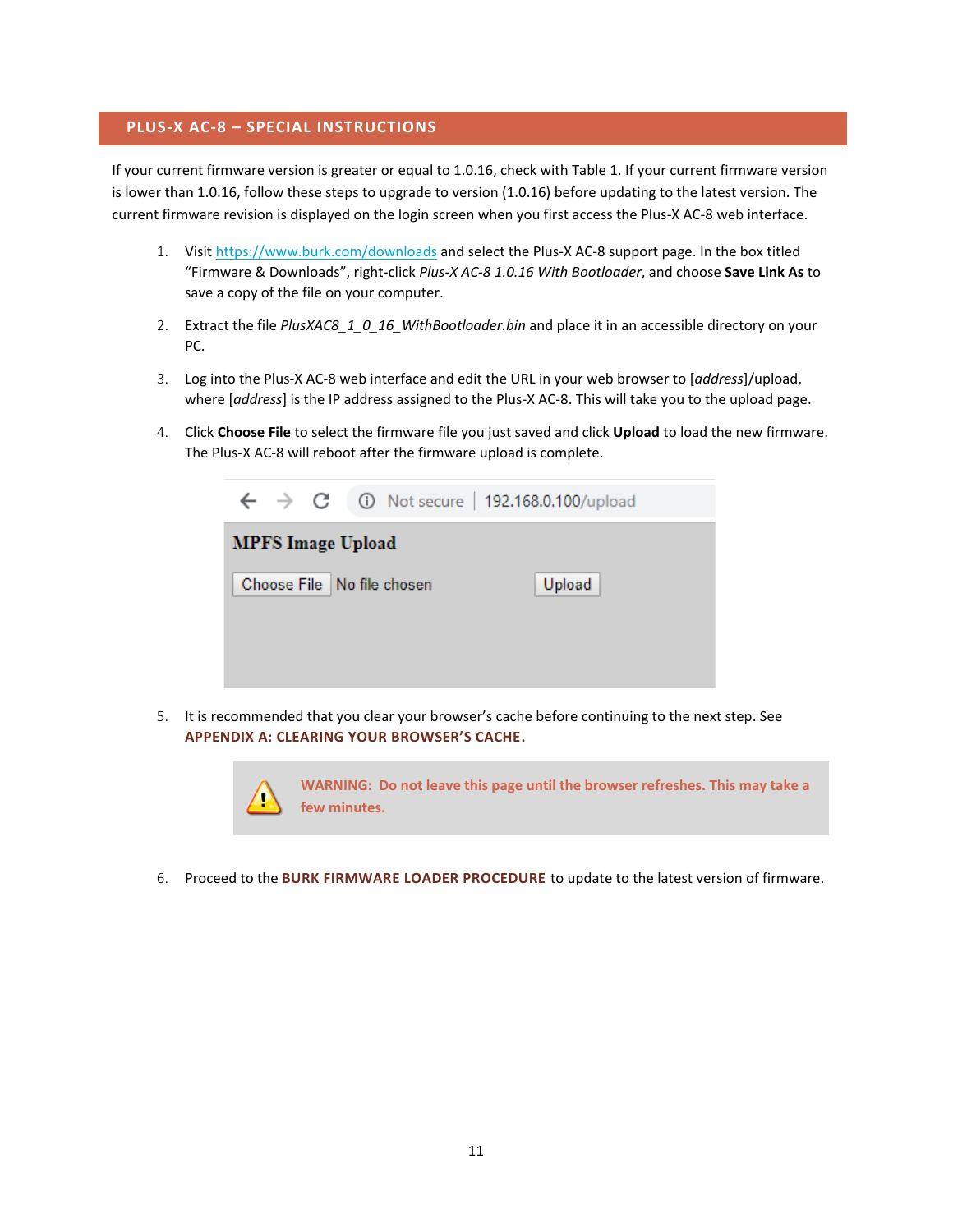## <span id="page-12-0"></span>**PLUS-X AC-8 – SPECIAL INSTRUCTIONS**

If your current firmware version is greater or equal to 1.0.16, check with Table 1. If your current firmware version is lower than 1.0.16, follow these steps to upgrade to version (1.0.16) before updating to the latest version. The current firmware revision is displayed on the login screen when you first access the Plus-X AC-8 web interface.

- 1. Visi[t https://www.burk.com/downloads](https://www.burk.com/downloads) and select the Plus-X AC-8 support page. In the box titled "Firmware & Downloads", right-click *Plus-X AC-8 1.0.16 With Bootloader*, and choose **Save Link As** to save a copy of the file on your computer.
- 2. Extract the file *PlusXAC8\_1\_0\_16\_WithBootloader.bin* and place it in an accessible directory on your PC.
- 3. Log into the Plus-X AC-8 web interface and edit the URL in your web browser to [*address*]/upload, where [*address*] is the IP address assigned to the Plus-X AC-8. This will take you to the upload page.
- 4. Click **Choose File** to select the firmware file you just saved and click **Upload** to load the new firmware. The Plus-X AC-8 will reboot after the firmware upload is complete.



5. It is recommended that you clear your browser's cache before continuing to the next step. See **[APPENDIX A: CLEARING YOUR BROWSER'S CACHE](#page-19-0).**



6. Proceed to the **[BURK FIRMWARE LOADER PROCEDURE](#page-16-0)** to update to the latest version of firmware.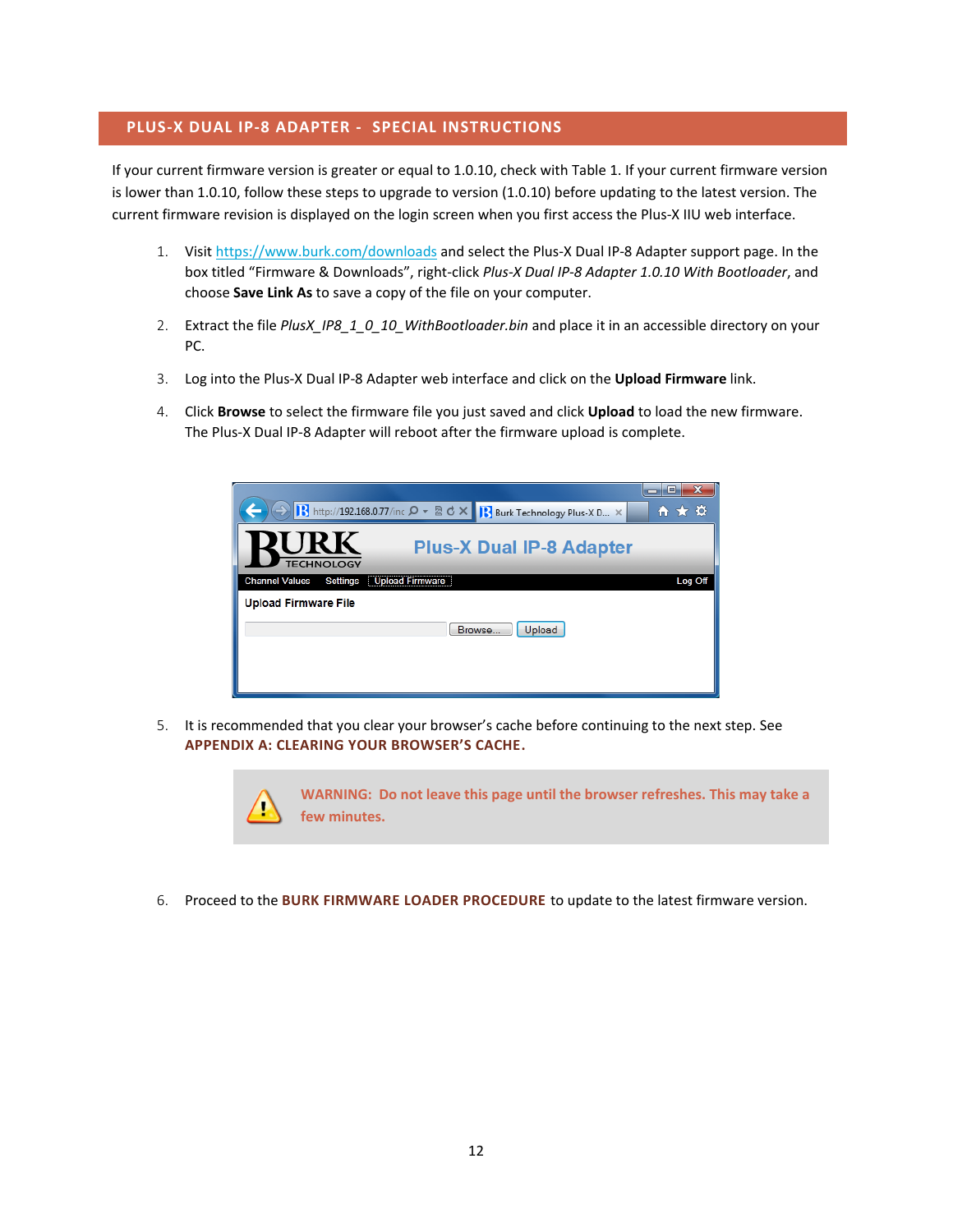# <span id="page-13-0"></span>**PLUS-X DUAL IP-8 ADAPTER - SPECIAL INSTRUCTIONS**

If your current firmware version is greater or equal to 1.0.10, check with Table 1. If your current firmware version is lower than 1.0.10, follow these steps to upgrade to version (1.0.10) before updating to the latest version. The current firmware revision is displayed on the login screen when you first access the Plus-X IIU web interface.

- 1. Visi[t https://www.burk.com/downloads](https://www.burk.com/downloads) and select the Plus-X Dual IP-8 Adapter support page. In the box titled "Firmware & Downloads", right-click *Plus-X Dual IP-8 Adapter 1.0.10 With Bootloader*, and choose **Save Link As** to save a copy of the file on your computer.
- 2. Extract the file *PlusX\_IP8\_1\_0\_10\_WithBootloader.bin* and place it in an accessible directory on your PC.
- 3. Log into the Plus-X Dual IP-8 Adapter web interface and click on the **Upload Firmware** link.
- 4. Click **Browse** to select the firmware file you just saved and click **Upload** to load the new firmware. The Plus-X Dual IP-8 Adapter will reboot after the firmware upload is complete.

| → R http://192.168.0.77/inc Q - R C X Burk Technology Plus-X D X   | n ★ ¤   |
|--------------------------------------------------------------------|---------|
| <b>URK</b><br><b>Plus-X Dual IP-8 Adapter</b><br><b>TECHNOLOGY</b> |         |
| <b>Upload Firmware</b><br><b>Channel Values</b><br>Settings        | Log Off |
| <b>Upload Firmware File</b>                                        |         |
| Upload<br>Browse.                                                  |         |
|                                                                    |         |
|                                                                    |         |

5. It is recommended that you clear your browser's cache before continuing to the next step. See **[APPENDIX A: CLEARING YOUR BROWSER'S CACHE](#page-19-0).**



6. Proceed to the **[BURK FIRMWARE LOADER PROCEDURE](#page-16-0)** to update to the latest firmware version.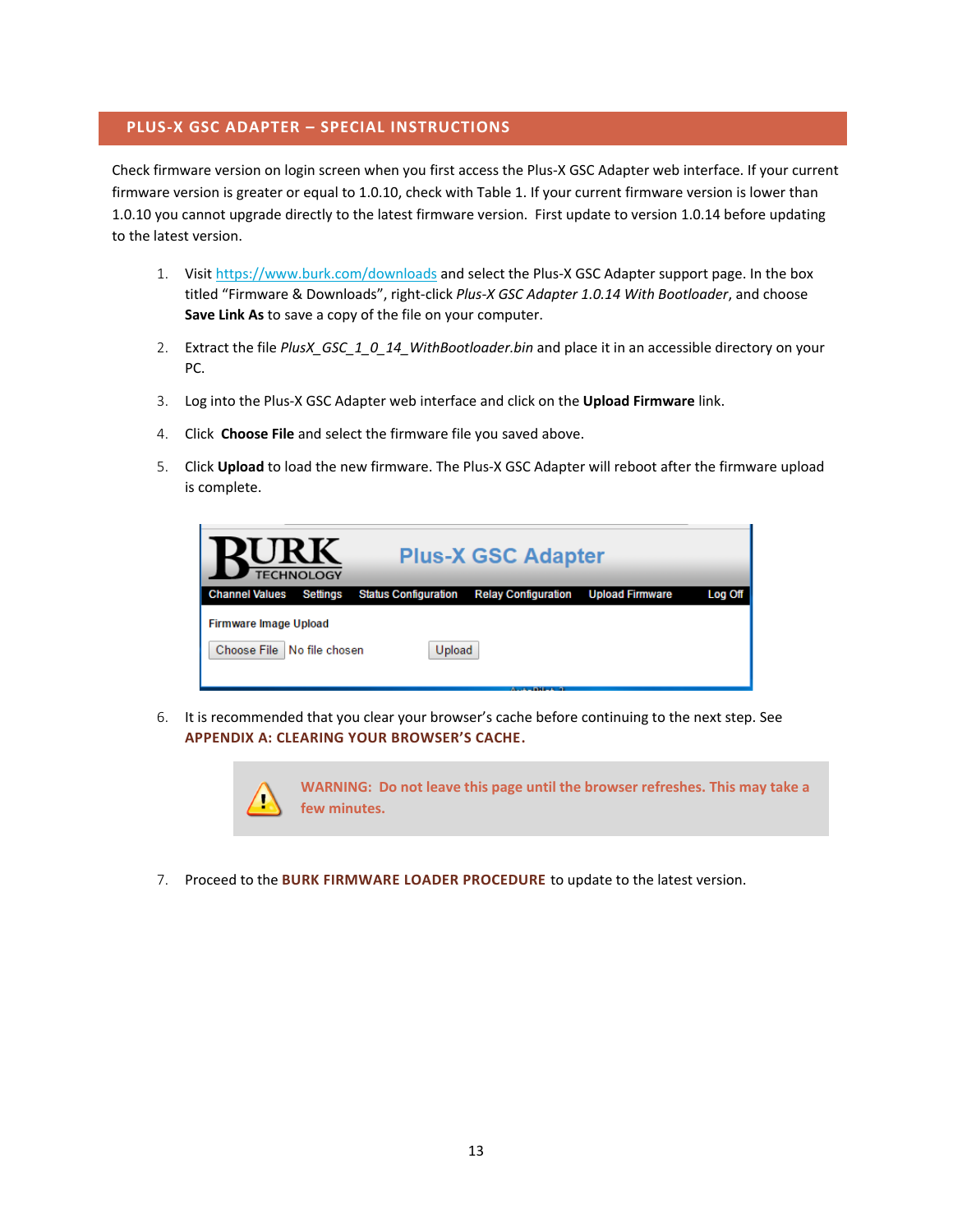#### <span id="page-14-0"></span>**PLUS-X GSC ADAPTER – SPECIAL INSTRUCTIONS**

Check firmware version on login screen when you first access the Plus-X GSC Adapter web interface. If your current firmware version is greater or equal to 1.0.10, check with Table 1. If your current firmware version is lower than 1.0.10 you cannot upgrade directly to the latest firmware version. First update to version 1.0.14 before updating to the latest version.

- 1. Visi[t https://www.burk.com/downloads](https://www.burk.com/downloads) and select the Plus-X GSC Adapter support page. In the box titled "Firmware & Downloads", right-click *Plus-X GSC Adapter 1.0.14 With Bootloader*, and choose **Save Link As** to save a copy of the file on your computer.
- 2. Extract the file *PlusX\_GSC\_1\_0\_14\_WithBootloader.bin* and place it in an accessible directory on your PC.
- 3. Log into the Plus-X GSC Adapter web interface and click on the **Upload Firmware** link.
- 4. Click **Choose File** and select the firmware file you saved above.
- 5. Click **Upload** to load the new firmware. The Plus-X GSC Adapter will reboot after the firmware upload is complete.

| <b>Plus-X GSC Adapter</b><br><b>TECHNOLOGY</b>               |                 |                             |                            |                        |         |
|--------------------------------------------------------------|-----------------|-----------------------------|----------------------------|------------------------|---------|
| <b>Channel Values</b>                                        | <b>Settings</b> | <b>Status Configuration</b> | <b>Relay Configuration</b> | <b>Upload Firmware</b> | Log Off |
| <b>Firmware Image Upload</b><br>Choose File   No file chosen |                 | Upload                      |                            |                        |         |

6. It is recommended that you clear your browser's cache before continuing to the next step. See **[APPENDIX A: CLEARING YOUR BROWSER'S CACHE](#page-19-0).**



7. Proceed to the **[BURK FIRMWARE LOADER PROCEDURE](#page-16-0)** to update to the latest version.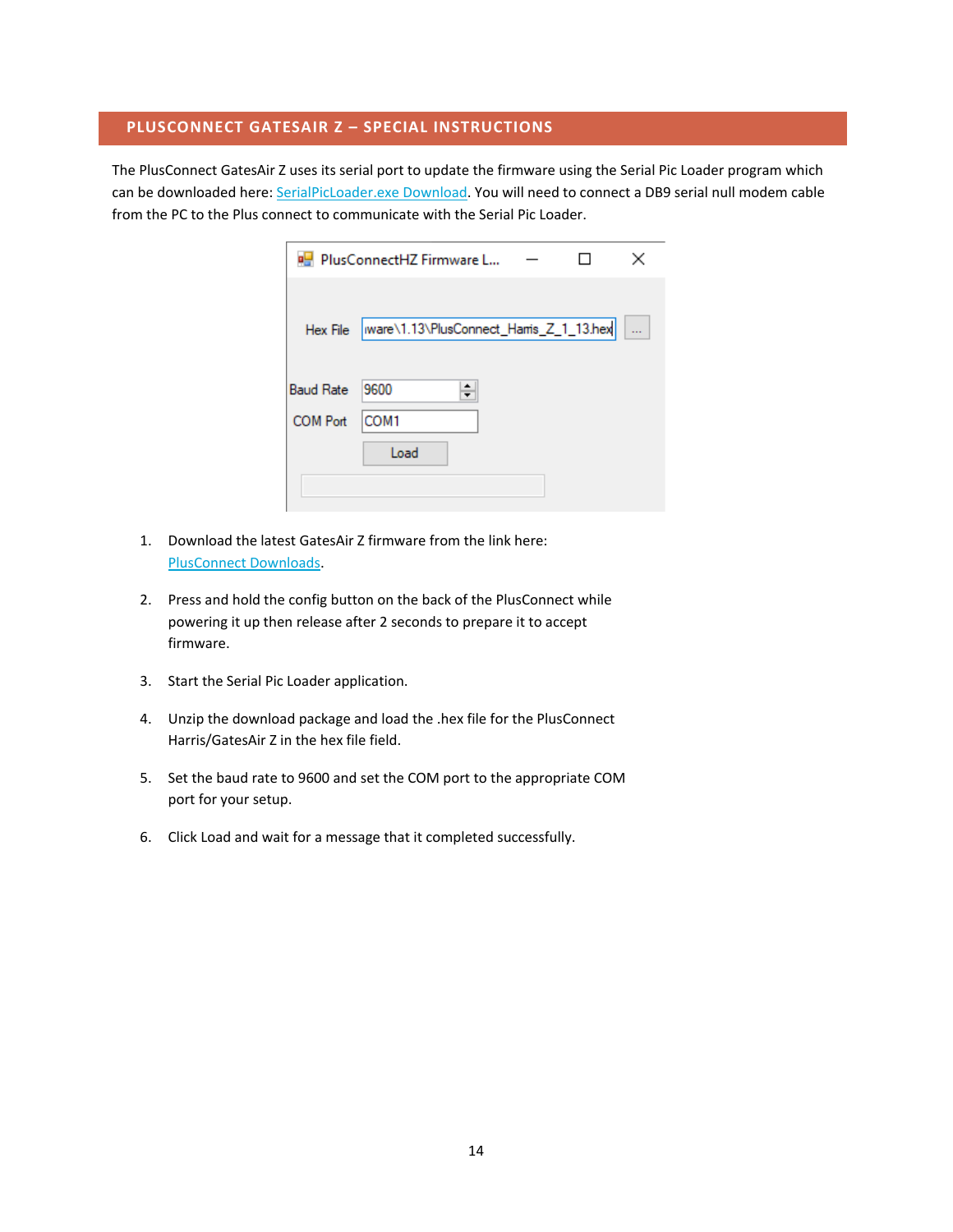## <span id="page-15-0"></span>**PLUSCONNECT GATESAIR Z – SPECIAL INSTRUCTIONS**

The PlusConnect GatesAir Z uses its serial port to update the firmware using the Serial Pic Loader program which can be downloaded here[: SerialPicLoader.exe Download.](https://www.burk.com/assets/burk/products/SerialPicLoader.exe) You will need to connect a DB9 serial null modem cable from the PC to the Plus connect to communicate with the Serial Pic Loader.

|                  | PlusConnectHZ Firmware L                |  |        |
|------------------|-----------------------------------------|--|--------|
| Hex File         | ware\1.13\PlusConnect_Harris_Z_1_13.hex |  | $\sim$ |
| <b>Baud Rate</b> | 9600                                    |  |        |
| <b>COM Port</b>  | COM <sub>1</sub><br>Load                |  |        |
|                  |                                         |  |        |

- 1. Download the latest GatesAir Z firmware from the link here: [PlusConnect Downloads.](https://www.burk.com/support/downloads/PlusConnect-supTMsup-47)
- 2. Press and hold the config button on the back of the PlusConnect while powering it up then release after 2 seconds to prepare it to accept firmware.
- 3. Start the Serial Pic Loader application.
- 4. Unzip the download package and load the .hex file for the PlusConnect Harris/GatesAir Z in the hex file field.
- 5. Set the baud rate to 9600 and set the COM port to the appropriate COM port for your setup.
- 6. Click Load and wait for a message that it completed successfully.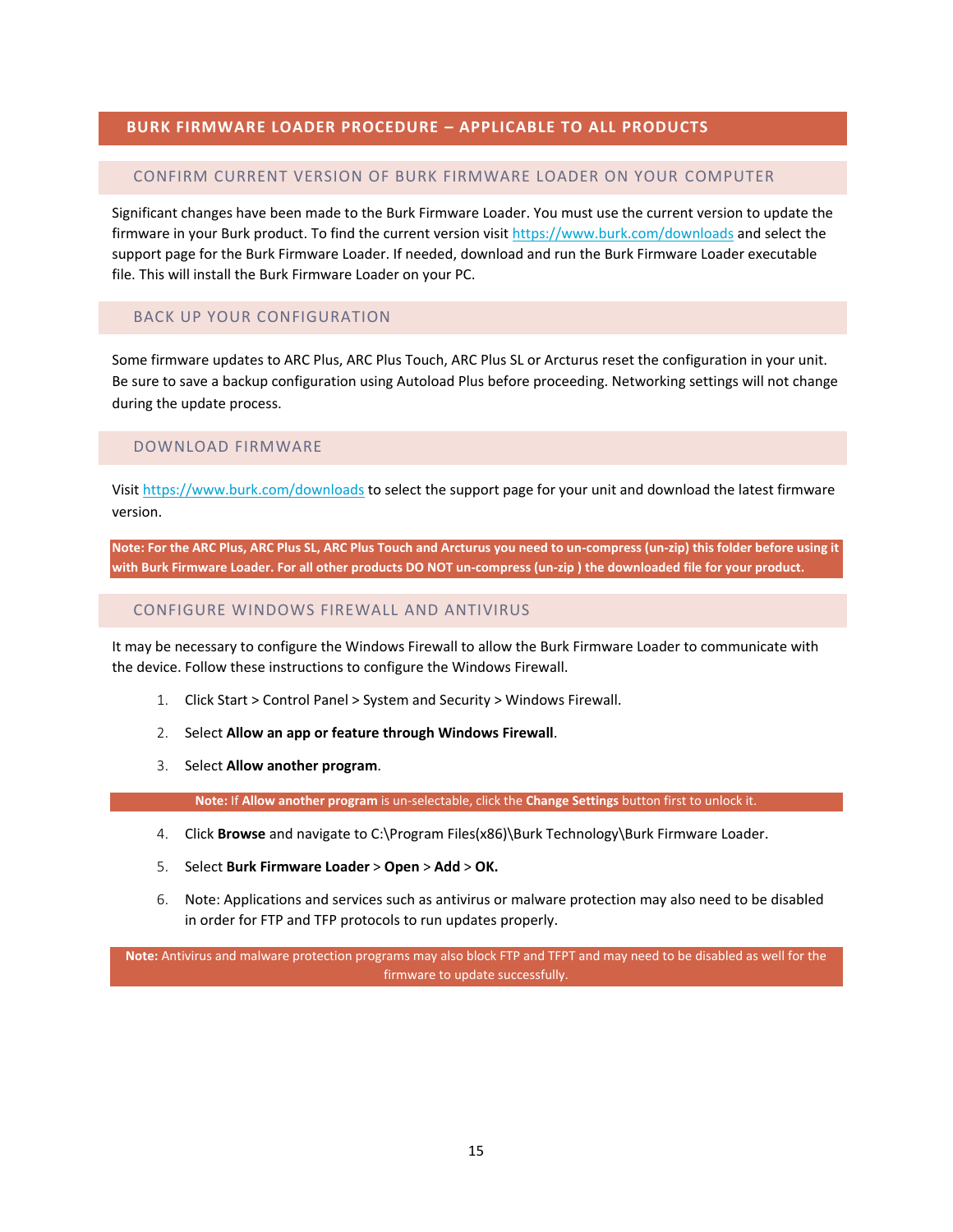## <span id="page-16-0"></span>**BURK FIRMWARE LOADER PROCEDURE – APPLICABLE TO ALL PRODUCTS**

#### <span id="page-16-1"></span>CONFIRM CURRENT VERSION OF BURK FIRMWARE LOADER ON YOUR COMPUTER

Significant changes have been made to the Burk Firmware Loader. You must use the current version to update the firmware in your Burk product. To find the current version visit<https://www.burk.com/downloads> and select the support page for the Burk Firmware Loader. If needed, download and run the Burk Firmware Loader executable file. This will install the Burk Firmware Loader on your PC.

# <span id="page-16-2"></span>BACK UP YOUR CONFIGURATION

Some firmware updates to ARC Plus, ARC Plus Touch, ARC Plus SL or Arcturus reset the configuration in your unit. Be sure to save a backup configuration using Autoload Plus before proceeding. Networking settings will not change during the update process.

#### <span id="page-16-3"></span>DOWNLOAD FIRMWARE

Visit<https://www.burk.com/downloads> to select the support page for your unit and download the latest firmware version.

**Note: For the ARC Plus, ARC Plus SL, ARC Plus Touch and Arcturus you need to un-compress (un-zip) this folder before using it with Burk Firmware Loader. For all other products DO NOT un-compress (un-zip ) the downloaded file for your product.**

#### <span id="page-16-4"></span>CONFIGURE WINDOWS FIREWALL AND ANTIVIRUS

It may be necessary to configure the Windows Firewall to allow the Burk Firmware Loader to communicate with the device. Follow these instructions to configure the Windows Firewall.

- 1. Click Start > Control Panel > System and Security > Windows Firewall.
- 2. Select **Allow an app or feature through Windows Firewall**.
- 3. Select **Allow another program**.

**Note:** If **Allow another program** is un-selectable, click the **Change Settings** button first to unlock it.

- 4. Click **Browse** and navigate to C:\Program Files(x86)\Burk Technology\Burk Firmware Loader.
- 5. Select **Burk Firmware Loader** > **Open** > **Add** > **OK.**
- 6. Note: Applications and services such as antivirus or malware protection may also need to be disabled in order for FTP and TFP protocols to run updates properly.

**Note:** Antivirus and malware protection programs may also block FTP and TFPT and may need to be disabled as well for the firmware to update successfully.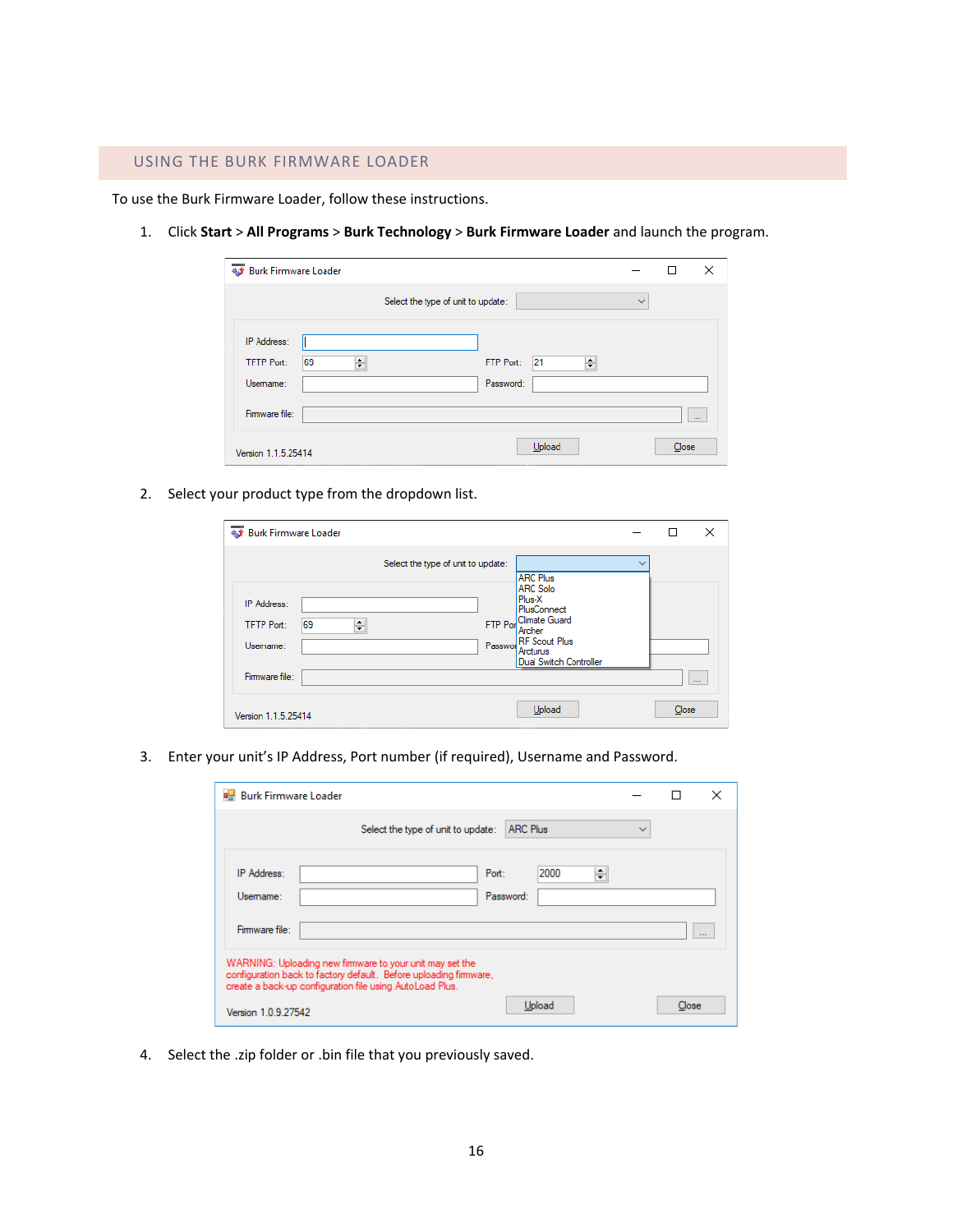<span id="page-17-0"></span>To use the Burk Firmware Loader, follow these instructions.

1. Click **Start** > **All Programs** > **Burk Technology** > **Burk Firmware Loader** and launch the program.

| <b>#3</b> Burk Firmware Loader |         |                                    |           |         |              | П     | $\times$      |
|--------------------------------|---------|------------------------------------|-----------|---------|--------------|-------|---------------|
|                                |         | Select the type of unit to update: |           |         | $\checkmark$ |       |               |
| IP Address:                    |         |                                    |           |         |              |       |               |
| <b>TFTP Port:</b>              | 69<br>÷ |                                    | FTP Port: | 21<br>÷ |              |       |               |
| Usemame:                       |         |                                    | Password: |         |              |       |               |
| Firmware file:                 |         |                                    |           |         |              |       | $\sim$ $\sim$ |
| Version 1.1.5.25414            |         |                                    |           | Upload  |              | Close |               |

2. Select your product type from the dropdown list.

| #5 Burk Firmware Loader                                 |                                    |                                                                                                                                                              |              |       | $\times$ |
|---------------------------------------------------------|------------------------------------|--------------------------------------------------------------------------------------------------------------------------------------------------------------|--------------|-------|----------|
|                                                         | Select the type of unit to update: |                                                                                                                                                              | $\checkmark$ |       |          |
| IP Address:<br>÷<br>69<br><b>TFTP Port:</b><br>Usemame: | Passwor                            | <b>ARC Plus</b><br><b>ARC Solo</b><br>Plus-X<br>PlusConnect<br>FTP Por Climate Guard<br>Archer<br><b>RF</b> Scout Plus<br>Arcturus<br>Dual Switch Controller |              |       |          |
| Firmware file:                                          |                                    |                                                                                                                                                              |              |       | $\cdots$ |
| Version 1.1.5.25414                                     |                                    | Upload                                                                                                                                                       |              | Close |          |

3. Enter your unit's IP Address, Port number (if required), Username and Password.

| <b>RE</b> Burk Firmware Loader |                                                                                                                                                                                          |              |       | ×        |
|--------------------------------|------------------------------------------------------------------------------------------------------------------------------------------------------------------------------------------|--------------|-------|----------|
|                                | <b>ARC Plus</b><br>Select the type of unit to update:                                                                                                                                    | $\checkmark$ |       |          |
| <b>IP Address:</b><br>Usemame: | 2000<br>Port:<br>÷<br>Password:                                                                                                                                                          |              |       |          |
| Firmware file:                 |                                                                                                                                                                                          |              |       | $\cdots$ |
|                                | WARNING: Uploading new firmware to your unit may set the<br>configuration back to factory default. Before uploading fimware,<br>create a back-up configuration file using AutoLoad Plus. |              |       |          |
| Version 1.0.9.27542            | Upload                                                                                                                                                                                   |              | Close |          |

4. Select the .zip folder or .bin file that you previously saved.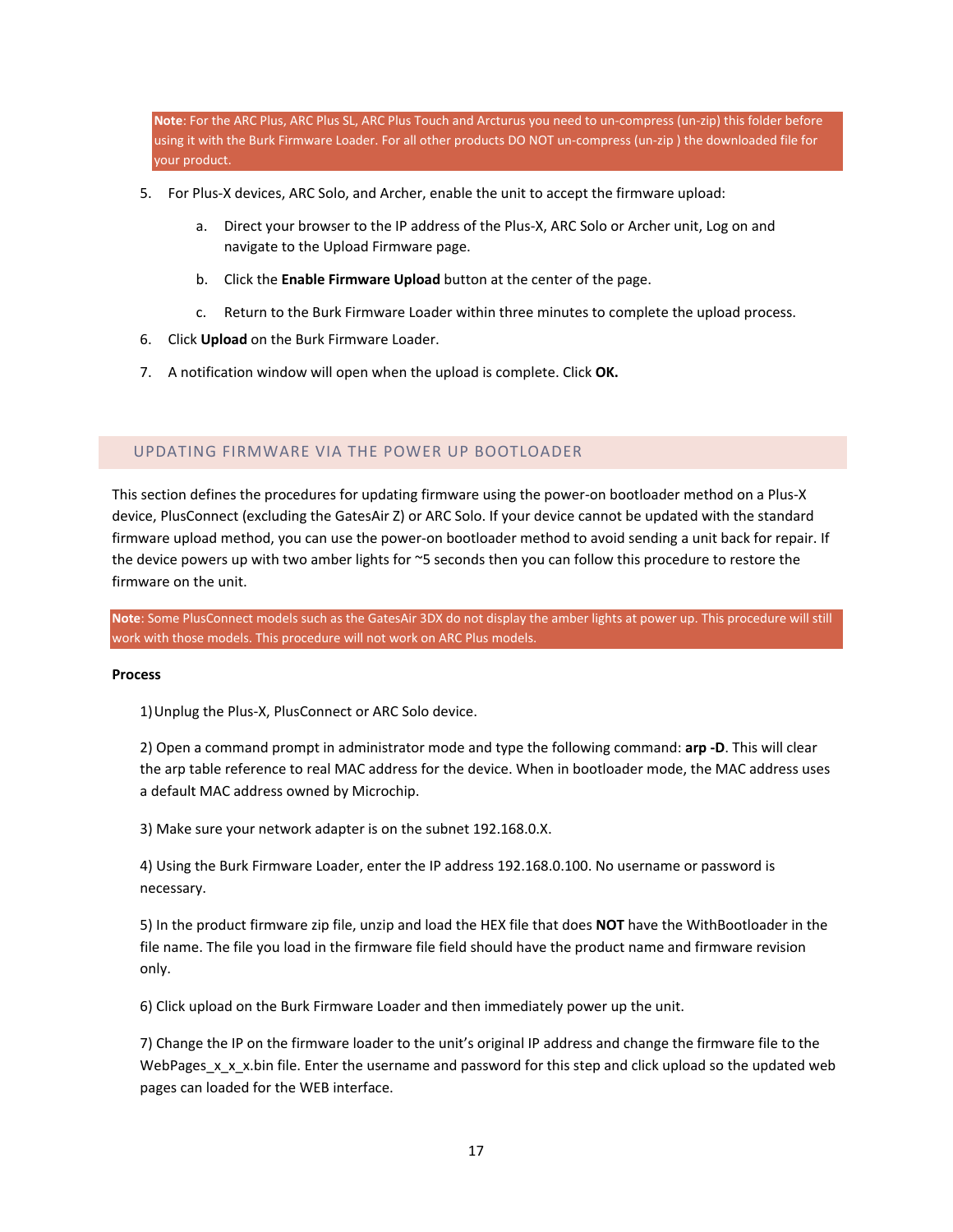**Note**: For the ARC Plus, ARC Plus SL, ARC Plus Touch and Arcturus you need to un-compress (un-zip) this folder before using it with the Burk Firmware Loader. For all other products DO NOT un-compress (un-zip ) the downloaded file for your product.

- 5. For Plus-X devices, ARC Solo, and Archer, enable the unit to accept the firmware upload:
	- a. Direct your browser to the IP address of the Plus-X, ARC Solo or Archer unit, Log on and navigate to the Upload Firmware page.
	- b. Click the **Enable Firmware Upload** button at the center of the page.
	- c. Return to the Burk Firmware Loader within three minutes to complete the upload process.
- 6. Click **Upload** on the Burk Firmware Loader.
- 7. A notification window will open when the upload is complete. Click **OK.**

#### <span id="page-18-0"></span>UPDATING FIRMWARE VIA THE POWER UP BOOTLOADER

This section defines the procedures for updating firmware using the power-on bootloader method on a Plus-X device, PlusConnect (excluding the GatesAir Z) or ARC Solo. If your device cannot be updated with the standard firmware upload method, you can use the power-on bootloader method to avoid sending a unit back for repair. If the device powers up with two amber lights for ~5 seconds then you can follow this procedure to restore the firmware on the unit.

**Note**: Some PlusConnect models such as the GatesAir 3DX do not display the amber lights at power up. This procedure will still work with those models. This procedure will not work on ARC Plus models.

#### **Process**

1)Unplug the Plus-X, PlusConnect or ARC Solo device.

2) Open a command prompt in administrator mode and type the following command: **arp -D**. This will clear the arp table reference to real MAC address for the device. When in bootloader mode, the MAC address uses a default MAC address owned by Microchip.

3) Make sure your network adapter is on the subnet 192.168.0.X.

4) Using the Burk Firmware Loader, enter the IP address 192.168.0.100. No username or password is necessary.

5) In the product firmware zip file, unzip and load the HEX file that does **NOT** have the WithBootloader in the file name. The file you load in the firmware file field should have the product name and firmware revision only.

6) Click upload on the Burk Firmware Loader and then immediately power up the unit.

7) Change the IP on the firmware loader to the unit's original IP address and change the firmware file to the WebPages\_x\_x\_x.bin file. Enter the username and password for this step and click upload so the updated web pages can loaded for the WEB interface.